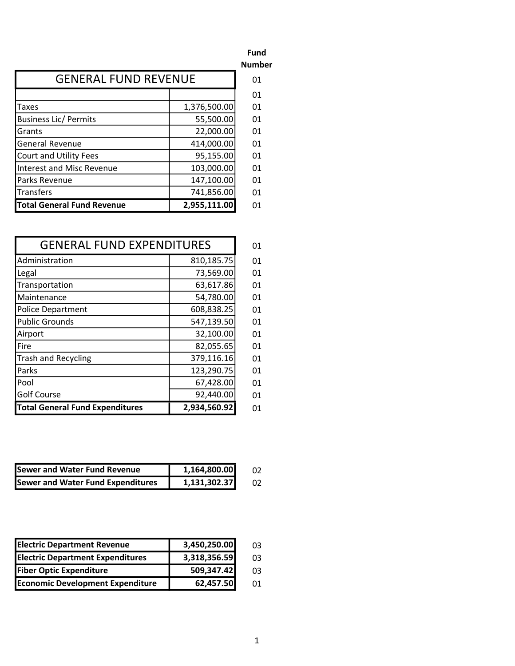|                                   |              | <b>Number</b> |
|-----------------------------------|--------------|---------------|
| <b>GENERAL FUND REVENUE</b>       |              | 01            |
|                                   |              | 01            |
| Taxes                             | 1,376,500.00 | 01            |
| <b>Business Lic/ Permits</b>      | 55,500.00    | 01            |
| Grants                            | 22,000.00    | 01            |
| <b>General Revenue</b>            | 414,000.00   | 01            |
| <b>Court and Utility Fees</b>     | 95,155.00    | 01            |
| <b>Interest and Misc Revenue</b>  | 103,000.00   | 01            |
| Parks Revenue                     | 147,100.00   | 01            |
| Transfers                         | 741,856.00   | 01            |
| <b>Total General Fund Revenue</b> | 2,955,111.00 | 01            |

| <b>GENERAL FUND EXPENDITURES</b>                       |            | 01 |
|--------------------------------------------------------|------------|----|
| Administration                                         | 810,185.75 | 01 |
| Legal                                                  | 73,569.00  | 01 |
| Transportation                                         | 63,617.86  | 01 |
| Maintenance                                            | 54,780.00  | 01 |
| Police Department                                      | 608,838.25 | 01 |
| Public Grounds                                         | 547,139.50 | 01 |
| Airport                                                | 32,100.00  | 01 |
| <b>lFire</b>                                           | 82,055.65  | 01 |
| Trash and Recycling                                    | 379,116.16 | 01 |
| Parks                                                  | 123,290.75 | 01 |
| l Pool                                                 | 67,428.00  | 01 |
| Golf Course                                            | 92,440.00  | 01 |
| <b>Total General Fund Expenditures</b><br>2,934,560.92 |            | 01 |

| <b>Sewer and Water Fund Revenue</b> | 1,164,800.00 |  |
|-------------------------------------|--------------|--|
| Sewer and Water Fund Expenditures   | 1,131,302.37 |  |

| <b>Electric Department Revenue</b>      | 3,450,250.00 | 03  |
|-----------------------------------------|--------------|-----|
| <b>Electric Department Expenditures</b> | 3,318,356.59 | 03  |
| <b>Fiber Optic Expenditure</b>          | 509,347.42   | 03  |
| <b>Economic Development Expenditure</b> | 62,457.50    | O1. |

Fund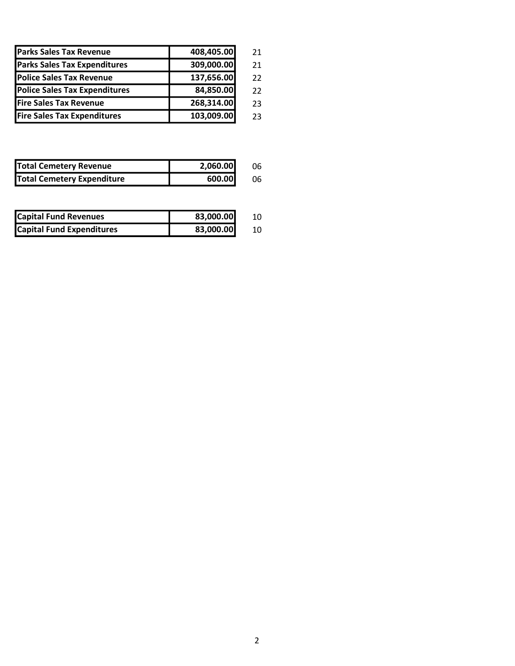| <b>Parks Sales Tax Revenue</b>       | 408,405.00 | 21 |
|--------------------------------------|------------|----|
| <b>Parks Sales Tax Expenditures</b>  | 309,000.00 | 21 |
| <b>Police Sales Tax Revenue</b>      | 137,656.00 | 22 |
| <b>Police Sales Tax Expenditures</b> | 84,850.00  | 22 |
| <b>Fire Sales Tax Revenue</b>        | 268,314.00 | 23 |
| <b>Fire Sales Tax Expenditures</b>   | 103,009.00 | 23 |

| <b>Total Cemetery Revenue</b>     | 2,060.00 | 06 |
|-----------------------------------|----------|----|
| <b>Total Cemetery Expenditure</b> | 600.00   | 06 |

| <b>Capital Fund Revenues</b>     | 83,000.00 |  |
|----------------------------------|-----------|--|
| <b>Capital Fund Expenditures</b> | 83,000.00 |  |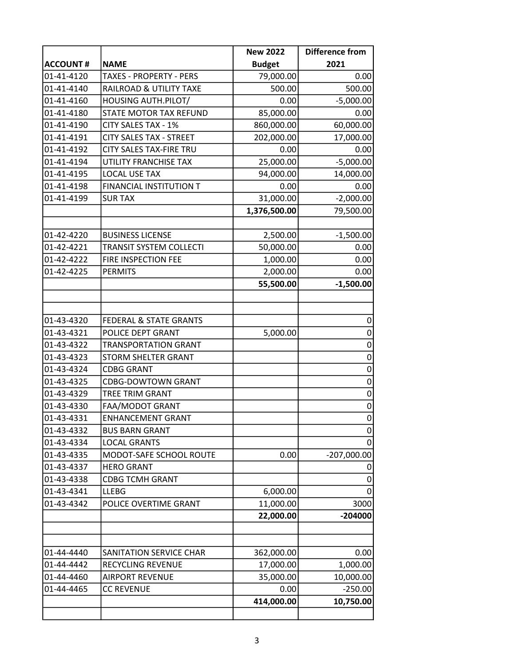|                 |                                    | <b>New 2022</b> | <b>Difference from</b> |
|-----------------|------------------------------------|-----------------|------------------------|
| <b>ACCOUNT#</b> | <b>NAME</b>                        | <b>Budget</b>   | 2021                   |
| 01-41-4120      | <b>TAXES - PROPERTY - PERS</b>     | 79,000.00       | 0.00                   |
| 01-41-4140      | <b>RAILROAD &amp; UTILITY TAXE</b> | 500.00          | 500.00                 |
| 01-41-4160      | HOUSING AUTH.PILOT/                | 0.00            | $-5,000.00$            |
| 01-41-4180      | STATE MOTOR TAX REFUND             | 85,000.00       | 0.00                   |
| 01-41-4190      | CITY SALES TAX - 1%                | 860,000.00      | 60,000.00              |
| 01-41-4191      | <b>CITY SALES TAX - STREET</b>     | 202,000.00      | 17,000.00              |
| 01-41-4192      | CITY SALES TAX-FIRE TRU            | 0.00            | 0.00                   |
| 01-41-4194      | UTILITY FRANCHISE TAX              | 25,000.00       | $-5,000.00$            |
| 01-41-4195      | <b>LOCAL USE TAX</b>               | 94,000.00       | 14,000.00              |
| 01-41-4198      | FINANCIAL INSTITUTION T            | 0.00            | 0.00                   |
| 01-41-4199      | <b>SUR TAX</b>                     | 31,000.00       | $-2,000.00$            |
|                 |                                    | 1,376,500.00    | 79,500.00              |
|                 |                                    |                 |                        |
| 01-42-4220      | <b>BUSINESS LICENSE</b>            | 2,500.00        | $-1,500.00$            |
| 01-42-4221      | TRANSIT SYSTEM COLLECTI            | 50,000.00       | 0.00                   |
| 01-42-4222      | FIRE INSPECTION FEE                | 1,000.00        | 0.00                   |
| 01-42-4225      | <b>PERMITS</b>                     | 2,000.00        | 0.00                   |
|                 |                                    | 55,500.00       | $-1,500.00$            |
|                 |                                    |                 |                        |
| 01-43-4320      | FEDERAL & STATE GRANTS             |                 | 0                      |
| 01-43-4321      | POLICE DEPT GRANT                  | 5,000.00        | $\mathbf 0$            |
| 01-43-4322      | <b>TRANSPORTATION GRANT</b>        |                 | $\mathbf 0$            |
| 01-43-4323      | <b>STORM SHELTER GRANT</b>         |                 | $\boldsymbol{0}$       |
| 01-43-4324      | <b>CDBG GRANT</b>                  |                 | $\mathbf 0$            |
| 01-43-4325      | <b>CDBG-DOWTOWN GRANT</b>          |                 | 0                      |
| 01-43-4329      | TREE TRIM GRANT                    |                 | $\mathbf 0$            |
| 01-43-4330      | FAA/MODOT GRANT                    |                 | $\overline{0}$         |
| 01-43-4331      | <b>ENHANCEMENT GRANT</b>           |                 | $\overline{0}$         |
| 01-43-4332      | <b>BUS BARN GRANT</b>              |                 | 0                      |
| 01-43-4334      | <b>LOCAL GRANTS</b>                |                 | $\overline{0}$         |
| 01-43-4335      | MODOT-SAFE SCHOOL ROUTE            | 0.00            | $-207,000.00$          |
| 01-43-4337      | <b>HERO GRANT</b>                  |                 | 0                      |
| 01-43-4338      | <b>CDBG TCMH GRANT</b>             |                 | 0                      |
| 01-43-4341      | <b>LLEBG</b>                       | 6,000.00        | $\overline{0}$         |
| 01-43-4342      | POLICE OVERTIME GRANT              | 11,000.00       | 3000                   |
|                 |                                    | 22,000.00       | $-204000$              |
|                 |                                    |                 |                        |
| 01-44-4440      | SANITATION SERVICE CHAR            | 362,000.00      | 0.00                   |
| 01-44-4442      | RECYCLING REVENUE                  | 17,000.00       | 1,000.00               |
| 01-44-4460      | <b>AIRPORT REVENUE</b>             | 35,000.00       | 10,000.00              |
| 01-44-4465      | <b>CC REVENUE</b>                  | 0.00            | $-250.00$              |
|                 |                                    | 414,000.00      | 10,750.00              |
|                 |                                    |                 |                        |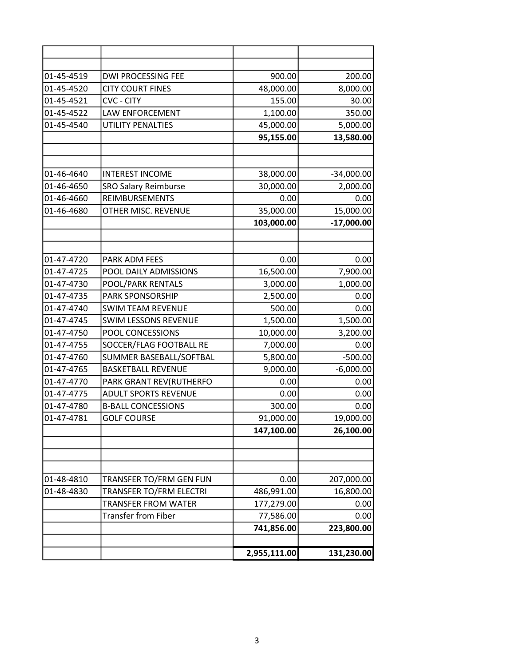| 01-45-4519 | DWI PROCESSING FEE                                 | 900.00                  | 200.00                    |
|------------|----------------------------------------------------|-------------------------|---------------------------|
| 01-45-4520 | <b>CITY COURT FINES</b>                            | 48,000.00               | 8,000.00                  |
| 01-45-4521 | <b>CVC - CITY</b>                                  | 155.00                  | 30.00                     |
| 01-45-4522 | LAW ENFORCEMENT                                    | 1,100.00                | 350.00                    |
| 01-45-4540 | UTILITY PENALTIES                                  | 45,000.00               | 5,000.00                  |
|            |                                                    | 95,155.00               | 13,580.00                 |
|            |                                                    |                         |                           |
| 01-46-4640 | <b>INTEREST INCOME</b>                             | 38,000.00               | $-34,000.00$              |
| 01-46-4650 | <b>SRO Salary Reimburse</b>                        | 30,000.00               | 2,000.00                  |
| 01-46-4660 | <b>REIMBURSEMENTS</b>                              | 0.00                    | 0.00                      |
| 01-46-4680 | OTHER MISC. REVENUE                                | 35,000.00<br>103,000.00 | 15,000.00<br>$-17,000.00$ |
|            |                                                    |                         |                           |
| 01-47-4720 | PARK ADM FEES                                      | 0.00                    | 0.00                      |
| 01-47-4725 | POOL DAILY ADMISSIONS                              | 16,500.00               | 7,900.00                  |
| 01-47-4730 | POOL/PARK RENTALS                                  | 3,000.00                | 1,000.00                  |
| 01-47-4735 | PARK SPONSORSHIP                                   | 2,500.00                | 0.00                      |
| 01-47-4740 | <b>SWIM TEAM REVENUE</b>                           | 500.00                  | 0.00                      |
| 01-47-4745 | <b>SWIM LESSONS REVENUE</b>                        | 1,500.00                | 1,500.00                  |
| 01-47-4750 | POOL CONCESSIONS                                   | 10,000.00               | 3,200.00                  |
| 01-47-4755 | SOCCER/FLAG FOOTBALL RE                            | 7,000.00                | 0.00                      |
| 01-47-4760 | SUMMER BASEBALL/SOFTBAL                            | 5,800.00                | $-500.00$                 |
| 01-47-4765 | <b>BASKETBALL REVENUE</b>                          | 9,000.00                | $-6,000.00$               |
| 01-47-4770 | PARK GRANT REV(RUTHERFO                            | 0.00                    | 0.00                      |
| 01-47-4775 | <b>ADULT SPORTS REVENUE</b>                        | 0.00                    | 0.00                      |
| 01-47-4780 | <b>B-BALL CONCESSIONS</b>                          | 300.00                  | 0.00                      |
| 01-47-4781 | <b>GOLF COURSE</b>                                 | 91,000.00               | 19,000.00                 |
|            |                                                    | 147,100.00              | 26,100.00                 |
|            |                                                    |                         |                           |
| 01-48-4810 |                                                    |                         |                           |
| 01-48-4830 | TRANSFER TO/FRM GEN FUN<br>TRANSFER TO/FRM ELECTRI | 0.00<br>486,991.00      | 207,000.00                |
|            | <b>TRANSFER FROM WATER</b>                         |                         | 16,800.00                 |
|            | <b>Transfer from Fiber</b>                         | 177,279.00<br>77,586.00 | 0.00<br>0.00              |
|            |                                                    | 741,856.00              | 223,800.00                |
|            |                                                    |                         |                           |
|            |                                                    | 2,955,111.00            | 131,230.00                |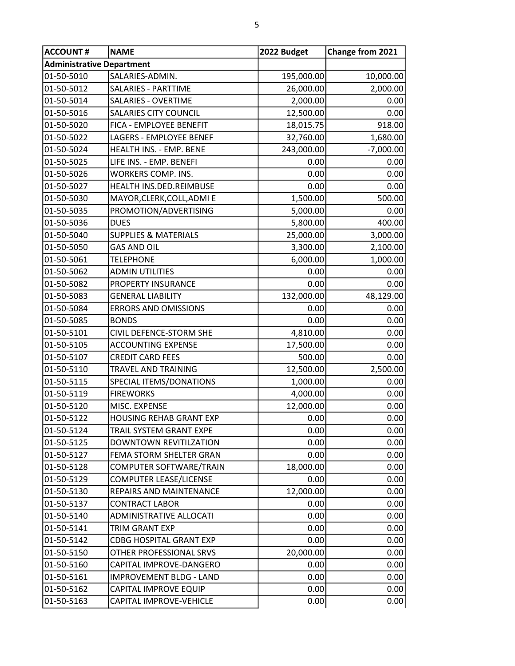| <b>ACCOUNT#</b>                  | <b>NAME</b>                     | 2022 Budget | Change from 2021 |  |
|----------------------------------|---------------------------------|-------------|------------------|--|
| <b>Administrative Department</b> |                                 |             |                  |  |
| 01-50-5010                       | SALARIES-ADMIN.                 | 195,000.00  | 10,000.00        |  |
| 01-50-5012                       | <b>SALARIES - PARTTIME</b>      | 26,000.00   | 2,000.00         |  |
| 01-50-5014                       | <b>SALARIES - OVERTIME</b>      | 2,000.00    | 0.00             |  |
| 01-50-5016                       | <b>SALARIES CITY COUNCIL</b>    | 12,500.00   | 0.00             |  |
| 01-50-5020                       | FICA - EMPLOYEE BENEFIT         | 18,015.75   | 918.00           |  |
| 01-50-5022                       | <b>LAGERS - EMPLOYEE BENEF</b>  | 32,760.00   | 1,680.00         |  |
| 01-50-5024                       | HEALTH INS. - EMP. BENE         | 243,000.00  | $-7,000.00$      |  |
| 01-50-5025                       | LIFE INS. - EMP. BENEFI         | 0.00        | 0.00             |  |
| 01-50-5026                       | WORKERS COMP. INS.              | 0.00        | 0.00             |  |
| 01-50-5027                       | HEALTH INS.DED.REIMBUSE         | 0.00        | 0.00             |  |
| 01-50-5030                       | MAYOR, CLERK, COLL, ADMI E      | 1,500.00    | 500.00           |  |
| 01-50-5035                       | PROMOTION/ADVERTISING           | 5,000.00    | 0.00             |  |
| 01-50-5036                       | <b>DUES</b>                     | 5,800.00    | 400.00           |  |
| 01-50-5040                       | <b>SUPPLIES &amp; MATERIALS</b> | 25,000.00   | 3,000.00         |  |
| 01-50-5050                       | <b>GAS AND OIL</b>              | 3,300.00    | 2,100.00         |  |
| 01-50-5061                       | <b>TELEPHONE</b>                | 6,000.00    | 1,000.00         |  |
| 01-50-5062                       | <b>ADMIN UTILITIES</b>          | 0.00        | 0.00             |  |
| 01-50-5082                       | PROPERTY INSURANCE              | 0.00        | 0.00             |  |
| 01-50-5083                       | <b>GENERAL LIABILITY</b>        | 132,000.00  | 48,129.00        |  |
| 01-50-5084                       | <b>ERRORS AND OMISSIONS</b>     | 0.00        | 0.00             |  |
| 01-50-5085                       | <b>BONDS</b>                    | 0.00        | 0.00             |  |
| 01-50-5101                       | CIVIL DEFENCE-STORM SHE         | 4,810.00    | 0.00             |  |
| 01-50-5105                       | <b>ACCOUNTING EXPENSE</b>       | 17,500.00   | 0.00             |  |
| 01-50-5107                       | <b>CREDIT CARD FEES</b>         | 500.00      | 0.00             |  |
| 01-50-5110                       | TRAVEL AND TRAINING             | 12,500.00   | 2,500.00         |  |
| 01-50-5115                       | SPECIAL ITEMS/DONATIONS         | 1,000.00    | 0.00             |  |
| 01-50-5119                       | <b>FIREWORKS</b>                | 4,000.00    | 0.00             |  |
| 01-50-5120                       | MISC. EXPENSE                   | 12,000.00   | 0.00             |  |
| 01-50-5122                       | <b>HOUSING REHAB GRANT EXP</b>  | 0.00        | 0.00             |  |
| 01-50-5124                       | TRAIL SYSTEM GRANT EXPE         | 0.00        | 0.00             |  |
| 01-50-5125                       | DOWNTOWN REVITILZATION          | 0.00        | 0.00             |  |
| 01-50-5127                       | FEMA STORM SHELTER GRAN         | 0.00        | 0.00             |  |
| 01-50-5128                       | COMPUTER SOFTWARE/TRAIN         | 18,000.00   | 0.00             |  |
| 01-50-5129                       | <b>COMPUTER LEASE/LICENSE</b>   | 0.00        | 0.00             |  |
| 01-50-5130                       | REPAIRS AND MAINTENANCE         | 12,000.00   | 0.00             |  |
| 01-50-5137                       | <b>CONTRACT LABOR</b>           | 0.00        | 0.00             |  |
| 01-50-5140                       | ADMINISTRATIVE ALLOCATI         | 0.00        | 0.00             |  |
| 01-50-5141                       | TRIM GRANT EXP                  | 0.00        | 0.00             |  |
| 01-50-5142                       | <b>CDBG HOSPITAL GRANT EXP</b>  | 0.00        | 0.00             |  |
| 01-50-5150                       | OTHER PROFESSIONAL SRVS         | 20,000.00   | 0.00             |  |
| 01-50-5160                       | CAPITAL IMPROVE-DANGERO         | 0.00        | 0.00             |  |
| 01-50-5161                       | <b>IMPROVEMENT BLDG - LAND</b>  | 0.00        | 0.00             |  |
| 01-50-5162                       | CAPITAL IMPROVE EQUIP           | 0.00        | 0.00             |  |
| 01-50-5163                       | CAPITAL IMPROVE-VEHICLE         | 0.00        | 0.00             |  |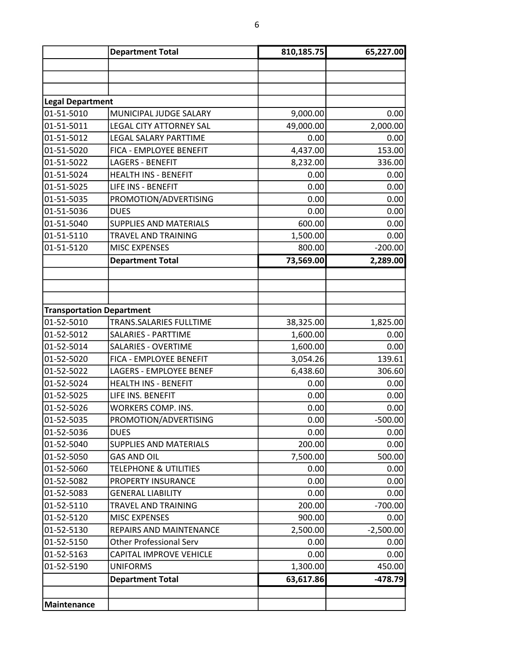|                                  | <b>Department Total</b>          | 810,185.75 | 65,227.00   |
|----------------------------------|----------------------------------|------------|-------------|
|                                  |                                  |            |             |
|                                  |                                  |            |             |
| <b>Legal Department</b>          |                                  |            |             |
| 01-51-5010                       | MUNICIPAL JUDGE SALARY           | 9,000.00   | 0.00        |
| 01-51-5011                       | <b>LEGAL CITY ATTORNEY SAL</b>   | 49,000.00  | 2,000.00    |
| 01-51-5012                       | <b>LEGAL SALARY PARTTIME</b>     | 0.00       | 0.00        |
| 01-51-5020                       | FICA - EMPLOYEE BENEFIT          | 4,437.00   | 153.00      |
| 01-51-5022                       | <b>LAGERS - BENEFIT</b>          | 8,232.00   | 336.00      |
| 01-51-5024                       | <b>HEALTH INS - BENEFIT</b>      | 0.00       | 0.00        |
| 01-51-5025                       | LIFE INS - BENEFIT               | 0.00       | 0.00        |
| 01-51-5035                       | PROMOTION/ADVERTISING            | 0.00       | 0.00        |
| 01-51-5036                       | <b>DUES</b>                      | 0.00       | 0.00        |
| 01-51-5040                       | <b>SUPPLIES AND MATERIALS</b>    | 600.00     | 0.00        |
| 01-51-5110                       | TRAVEL AND TRAINING              | 1,500.00   | 0.00        |
| 01-51-5120                       | <b>MISC EXPENSES</b>             | 800.00     | $-200.00$   |
|                                  | <b>Department Total</b>          | 73,569.00  | 2,289.00    |
|                                  |                                  |            |             |
|                                  |                                  |            |             |
| <b>Transportation Department</b> |                                  |            |             |
| 01-52-5010                       | TRANS.SALARIES FULLTIME          | 38,325.00  | 1,825.00    |
| 01-52-5012                       | <b>SALARIES - PARTTIME</b>       | 1,600.00   | 0.00        |
| 01-52-5014                       | <b>SALARIES - OVERTIME</b>       | 1,600.00   | 0.00        |
| 01-52-5020                       | FICA - EMPLOYEE BENEFIT          | 3,054.26   | 139.61      |
| 01-52-5022                       | LAGERS - EMPLOYEE BENEF          | 6,438.60   | 306.60      |
| 01-52-5024                       | <b>HEALTH INS - BENEFIT</b>      | 0.00       | 0.00        |
| 01-52-5025                       | LIFE INS. BENEFIT                | 0.00       | 0.00        |
| 01-52-5026                       | <b>WORKERS COMP. INS.</b>        | 0.00       | 0.00        |
| 01-52-5035                       | PROMOTION/ADVERTISING            | 0.00       | $-500.00$   |
| 01-52-5036                       | <b>DUES</b>                      | 0.00       | 0.00        |
| 01-52-5040                       | <b>SUPPLIES AND MATERIALS</b>    | 200.00     | 0.00        |
| 01-52-5050                       | <b>GAS AND OIL</b>               | 7,500.00   | 500.00      |
| 01-52-5060                       | <b>TELEPHONE &amp; UTILITIES</b> | 0.00       | 0.00        |
| 01-52-5082                       | PROPERTY INSURANCE               | 0.00       | 0.00        |
| 01-52-5083                       | <b>GENERAL LIABILITY</b>         | 0.00       | 0.00        |
| 01-52-5110                       | TRAVEL AND TRAINING              | 200.00     | $-700.00$   |
| 01-52-5120                       | <b>MISC EXPENSES</b>             | 900.00     | 0.00        |
| 01-52-5130                       | REPAIRS AND MAINTENANCE          | 2,500.00   | $-2,500.00$ |
| 01-52-5150                       | <b>Other Professional Serv</b>   | 0.00       | 0.00        |
| 01-52-5163                       | CAPITAL IMPROVE VEHICLE          | 0.00       | 0.00        |
| 01-52-5190                       | <b>UNIFORMS</b>                  | 1,300.00   | 450.00      |
|                                  | <b>Department Total</b>          | 63,617.86  | $-478.79$   |
|                                  |                                  |            |             |
| Maintenance                      |                                  |            |             |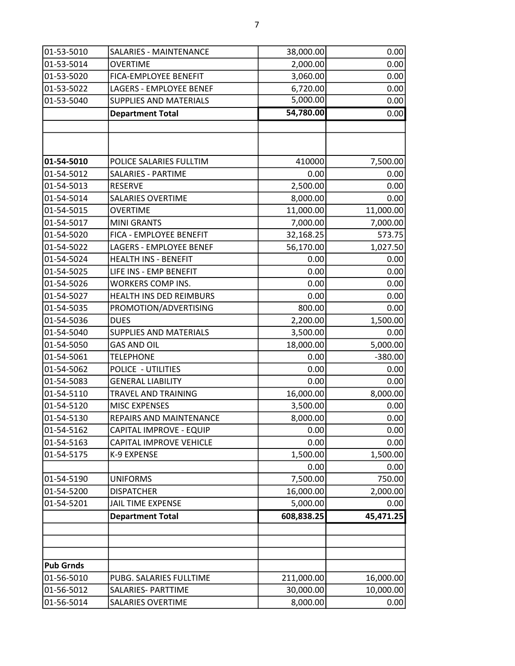| 01-53-5010       | SALARIES - MAINTENANCE         | 38,000.00  | 0.00      |
|------------------|--------------------------------|------------|-----------|
| 01-53-5014       | <b>OVERTIME</b>                | 2,000.00   | 0.00      |
| 01-53-5020       | <b>FICA-EMPLOYEE BENEFIT</b>   | 3,060.00   | 0.00      |
| 01-53-5022       | LAGERS - EMPLOYEE BENEF        | 6,720.00   | 0.00      |
| 01-53-5040       | <b>SUPPLIES AND MATERIALS</b>  | 5,000.00   | 0.00      |
|                  | <b>Department Total</b>        | 54,780.00  | 0.00      |
|                  |                                |            |           |
|                  |                                |            |           |
| 01-54-5010       | POLICE SALARIES FULLTIM        | 410000     | 7,500.00  |
| 01-54-5012       | <b>SALARIES - PARTIME</b>      | 0.00       | 0.00      |
| 01-54-5013       | <b>RESERVE</b>                 | 2,500.00   | 0.00      |
| 01-54-5014       | <b>SALARIES OVERTIME</b>       | 8,000.00   | 0.00      |
| 01-54-5015       | <b>OVERTIME</b>                | 11,000.00  | 11,000.00 |
| 01-54-5017       | <b>MINI GRANTS</b>             | 7,000.00   | 7,000.00  |
| 01-54-5020       | FICA - EMPLOYEE BENEFIT        | 32,168.25  | 573.75    |
| 01-54-5022       | <b>LAGERS - EMPLOYEE BENEF</b> | 56,170.00  | 1,027.50  |
| 01-54-5024       | <b>HEALTH INS - BENEFIT</b>    | 0.00       | 0.00      |
| 01-54-5025       | LIFE INS - EMP BENEFIT         | 0.00       | 0.00      |
| 01-54-5026       | WORKERS COMP INS.              | 0.00       | 0.00      |
| 01-54-5027       | HEALTH INS DED REIMBURS        | 0.00       | 0.00      |
| 01-54-5035       | PROMOTION/ADVERTISING          | 800.00     | 0.00      |
| 01-54-5036       | <b>DUES</b>                    | 2,200.00   | 1,500.00  |
| 01-54-5040       | <b>SUPPLIES AND MATERIALS</b>  | 3,500.00   | 0.00      |
| 01-54-5050       | <b>GAS AND OIL</b>             | 18,000.00  | 5,000.00  |
| 01-54-5061       | <b>TELEPHONE</b>               | 0.00       | $-380.00$ |
| 01-54-5062       | POLICE - UTILITIES             | 0.00       | 0.00      |
| 01-54-5083       | <b>GENERAL LIABILITY</b>       | 0.00       | 0.00      |
| 01-54-5110       | TRAVEL AND TRAINING            | 16,000.00  | 8,000.00  |
| 01-54-5120       | <b>MISC EXPENSES</b>           | 3,500.00   | 0.00      |
| 01-54-5130       | REPAIRS AND MAINTENANCE        | 8,000.00   | 0.00      |
| 01-54-5162       | CAPITAL IMPROVE - EQUIP        | 0.00       | 0.00      |
| 01-54-5163       | <b>CAPITAL IMPROVE VEHICLE</b> | 0.00       | 0.00      |
| 01-54-5175       | K-9 EXPENSE                    | 1,500.00   | 1,500.00  |
|                  |                                | 0.00       | 0.00      |
| 01-54-5190       | <b>UNIFORMS</b>                | 7,500.00   | 750.00    |
| 01-54-5200       | <b>DISPATCHER</b>              | 16,000.00  | 2,000.00  |
| 01-54-5201       | <b>JAIL TIME EXPENSE</b>       | 5,000.00   | 0.00      |
|                  | <b>Department Total</b>        | 608,838.25 | 45,471.25 |
|                  |                                |            |           |
|                  |                                |            |           |
| <b>Pub Grnds</b> |                                |            |           |
| 01-56-5010       | PUBG. SALARIES FULLTIME        | 211,000.00 | 16,000.00 |
| 01-56-5012       | SALARIES- PARTTIME             | 30,000.00  | 10,000.00 |
| 01-56-5014       | SALARIES OVERTIME              | 8,000.00   | 0.00      |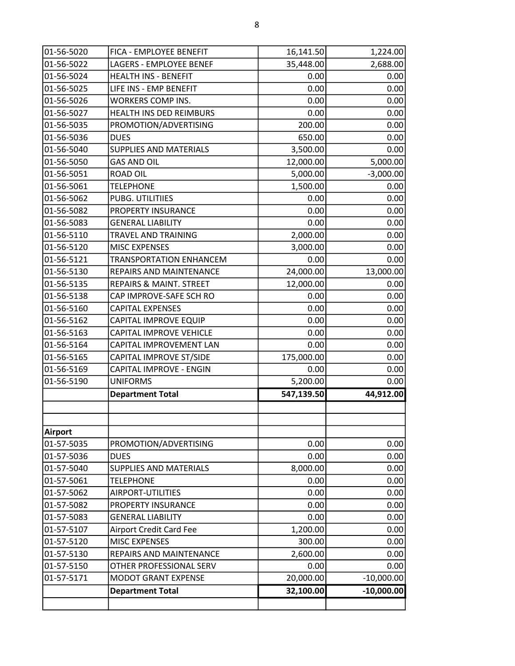| 01-56-5020     | FICA - EMPLOYEE BENEFIT        | 16,141.50  | 1,224.00     |
|----------------|--------------------------------|------------|--------------|
| 01-56-5022     | LAGERS - EMPLOYEE BENEF        | 35,448.00  | 2,688.00     |
| 01-56-5024     | <b>HEALTH INS - BENEFIT</b>    | 0.00       | 0.00         |
| 01-56-5025     | LIFE INS - EMP BENEFIT         | 0.00       | 0.00         |
| 01-56-5026     | <b>WORKERS COMP INS.</b>       | 0.00       | 0.00         |
| 01-56-5027     | HEALTH INS DED REIMBURS        | 0.00       | 0.00         |
| 01-56-5035     | PROMOTION/ADVERTISING          | 200.00     | 0.00         |
| 01-56-5036     | <b>DUES</b>                    | 650.00     | 0.00         |
| 01-56-5040     | <b>SUPPLIES AND MATERIALS</b>  | 3,500.00   | 0.00         |
| 01-56-5050     | <b>GAS AND OIL</b>             | 12,000.00  | 5,000.00     |
| 01-56-5051     | <b>ROAD OIL</b>                | 5,000.00   | $-3,000.00$  |
| 01-56-5061     | <b>TELEPHONE</b>               | 1,500.00   | 0.00         |
| 01-56-5062     | PUBG. UTILITIIES               | 0.00       | 0.00         |
| 01-56-5082     | PROPERTY INSURANCE             | 0.00       | 0.00         |
| 01-56-5083     | <b>GENERAL LIABILITY</b>       | 0.00       | 0.00         |
| 01-56-5110     | <b>TRAVEL AND TRAINING</b>     | 2,000.00   | 0.00         |
| 01-56-5120     | <b>MISC EXPENSES</b>           | 3,000.00   | 0.00         |
| 01-56-5121     | <b>TRANSPORTATION ENHANCEM</b> | 0.00       | 0.00         |
| 01-56-5130     | REPAIRS AND MAINTENANCE        | 24,000.00  | 13,000.00    |
| 01-56-5135     | REPAIRS & MAINT. STREET        | 12,000.00  | 0.00         |
| 01-56-5138     | CAP IMPROVE-SAFE SCH RO        | 0.00       | 0.00         |
| 01-56-5160     | <b>CAPITAL EXPENSES</b>        | 0.00       | 0.00         |
| 01-56-5162     | CAPITAL IMPROVE EQUIP          | 0.00       | 0.00         |
| 01-56-5163     | CAPITAL IMPROVE VEHICLE        | 0.00       | 0.00         |
| 01-56-5164     | CAPITAL IMPROVEMENT LAN        | 0.00       | 0.00         |
| 01-56-5165     | CAPITAL IMPROVE ST/SIDE        | 175,000.00 | 0.00         |
| 01-56-5169     | CAPITAL IMPROVE - ENGIN        | 0.00       | 0.00         |
| 01-56-5190     | <b>UNIFORMS</b>                | 5,200.00   | 0.00         |
|                | <b>Department Total</b>        | 547,139.50 | 44,912.00    |
|                |                                |            |              |
| <b>Airport</b> |                                |            |              |
| 01-57-5035     | PROMOTION/ADVERTISING          | 0.00       | 0.00         |
| 01-57-5036     | <b>DUES</b>                    | 0.00       | 0.00         |
| 01-57-5040     | <b>SUPPLIES AND MATERIALS</b>  | 8,000.00   | 0.00         |
| 01-57-5061     | <b>TELEPHONE</b>               | 0.00       | 0.00         |
| 01-57-5062     | AIRPORT-UTILITIES              | 0.00       | 0.00         |
| 01-57-5082     | PROPERTY INSURANCE             | 0.00       | 0.00         |
| 01-57-5083     | <b>GENERAL LIABILITY</b>       | 0.00       | 0.00         |
| 01-57-5107     | <b>Airport Credit Card Fee</b> | 1,200.00   | 0.00         |
| 01-57-5120     | <b>MISC EXPENSES</b>           | 300.00     | 0.00         |
| 01-57-5130     | REPAIRS AND MAINTENANCE        | 2,600.00   | 0.00         |
| 01-57-5150     | OTHER PROFESSIONAL SERV        | 0.00       | 0.00         |
| 01-57-5171     | <b>MODOT GRANT EXPENSE</b>     | 20,000.00  | $-10,000.00$ |
|                | <b>Department Total</b>        | 32,100.00  | $-10,000.00$ |
|                |                                |            |              |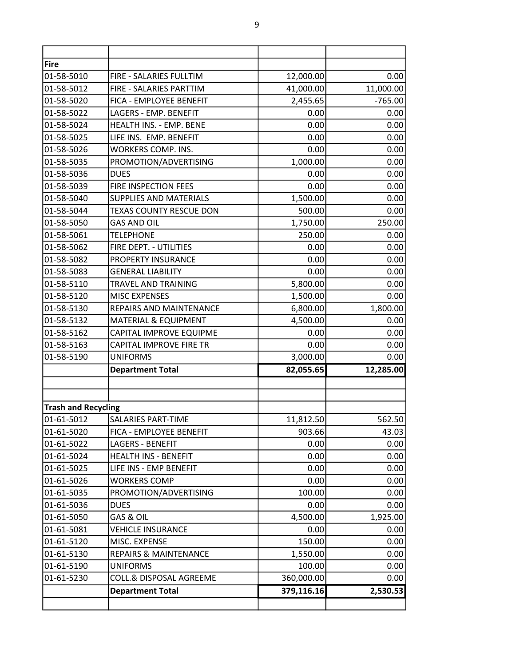| <b>Fire</b>                |                                  |            |           |
|----------------------------|----------------------------------|------------|-----------|
| 01-58-5010                 | FIRE - SALARIES FULLTIM          | 12,000.00  | 0.00      |
| 01-58-5012                 | FIRE - SALARIES PARTTIM          | 41,000.00  | 11,000.00 |
| 01-58-5020                 | FICA - EMPLOYEE BENEFIT          | 2,455.65   | $-765.00$ |
| 01-58-5022                 | LAGERS - EMP. BENEFIT            | 0.00       | 0.00      |
| 01-58-5024                 | HEALTH INS. - EMP. BENE          | 0.00       | 0.00      |
| 01-58-5025                 | LIFE INS. EMP. BENEFIT           | 0.00       | 0.00      |
| 01-58-5026                 | <b>WORKERS COMP. INS.</b>        | 0.00       | 0.00      |
| 01-58-5035                 | PROMOTION/ADVERTISING            | 1,000.00   | 0.00      |
| 01-58-5036                 | <b>DUES</b>                      | 0.00       | 0.00      |
| 01-58-5039                 | FIRE INSPECTION FEES             | 0.00       | 0.00      |
| 01-58-5040                 | <b>SUPPLIES AND MATERIALS</b>    | 1,500.00   | 0.00      |
| 01-58-5044                 | <b>TEXAS COUNTY RESCUE DON</b>   | 500.00     | 0.00      |
| 01-58-5050                 | <b>GAS AND OIL</b>               | 1,750.00   | 250.00    |
| 01-58-5061                 | <b>TELEPHONE</b>                 | 250.00     | 0.00      |
| 01-58-5062                 | FIRE DEPT. - UTILITIES           | 0.00       | 0.00      |
| 01-58-5082                 | PROPERTY INSURANCE               | 0.00       | 0.00      |
| 01-58-5083                 | <b>GENERAL LIABILITY</b>         | 0.00       | 0.00      |
| 01-58-5110                 | TRAVEL AND TRAINING              | 5,800.00   | 0.00      |
| 01-58-5120                 | <b>MISC EXPENSES</b>             | 1,500.00   | 0.00      |
| 01-58-5130                 | REPAIRS AND MAINTENANCE          | 6,800.00   | 1,800.00  |
| 01-58-5132                 | <b>MATERIAL &amp; EQUIPMENT</b>  | 4,500.00   | 0.00      |
| 01-58-5162                 | CAPITAL IMPROVE EQUIPME          | 0.00       | 0.00      |
| 01-58-5163                 | <b>CAPITAL IMPROVE FIRE TR</b>   | 0.00       | 0.00      |
| 01-58-5190                 | <b>UNIFORMS</b>                  | 3,000.00   | 0.00      |
|                            | <b>Department Total</b>          | 82,055.65  | 12,285.00 |
|                            |                                  |            |           |
| <b>Trash and Recycling</b> |                                  |            |           |
| 01-61-5012                 | <b>SALARIES PART-TIME</b>        | 11,812.50  | 562.50    |
| 01-61-5020                 | FICA - EMPLOYEE BENEFIT          | 903.66     | 43.03     |
| 01-61-5022                 | <b>LAGERS - BENEFIT</b>          | 0.00       | 0.00      |
| 01-61-5024                 | <b>HEALTH INS - BENEFIT</b>      | 0.00       | 0.00      |
| 01-61-5025                 | LIFE INS - EMP BENEFIT           | 0.00       | 0.00      |
| 01-61-5026                 | <b>WORKERS COMP</b>              | 0.00       | 0.00      |
| 01-61-5035                 | PROMOTION/ADVERTISING            | 100.00     | 0.00      |
| 01-61-5036                 | <b>DUES</b>                      | 0.00       | 0.00      |
| 01-61-5050                 | GAS & OIL                        | 4,500.00   | 1,925.00  |
| 01-61-5081                 | <b>VEHICLE INSURANCE</b>         | 0.00       | 0.00      |
| 01-61-5120                 | MISC. EXPENSE                    | 150.00     | 0.00      |
| 01-61-5130                 | <b>REPAIRS &amp; MAINTENANCE</b> | 1,550.00   | 0.00      |
| 01-61-5190                 | <b>UNIFORMS</b>                  | 100.00     | 0.00      |
| 01-61-5230                 | COLL.& DISPOSAL AGREEME          | 360,000.00 | 0.00      |
|                            | <b>Department Total</b>          | 379,116.16 | 2,530.53  |
|                            |                                  |            |           |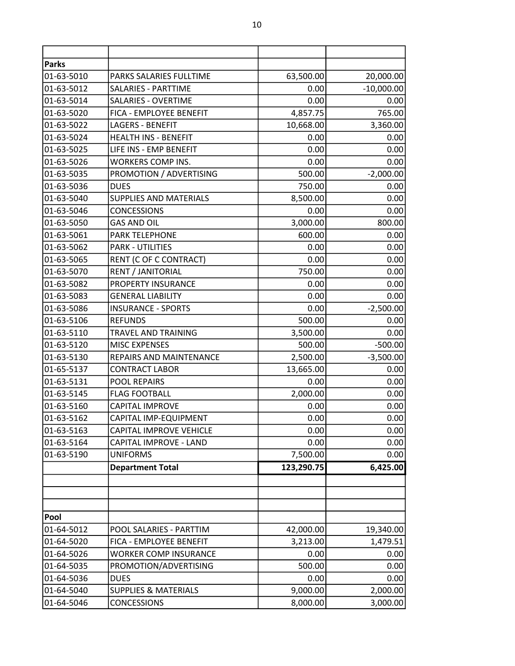| <b>Parks</b> |                                 |            |              |
|--------------|---------------------------------|------------|--------------|
| 01-63-5010   | PARKS SALARIES FULLTIME         | 63,500.00  | 20,000.00    |
| 01-63-5012   | SALARIES - PARTTIME             | 0.00       | $-10,000.00$ |
| 01-63-5014   | <b>SALARIES - OVERTIME</b>      | 0.00       | 0.00         |
| 01-63-5020   | FICA - EMPLOYEE BENEFIT         | 4,857.75   | 765.00       |
| 01-63-5022   | <b>LAGERS - BENEFIT</b>         | 10,668.00  | 3,360.00     |
| 01-63-5024   | <b>HEALTH INS - BENEFIT</b>     | 0.00       | 0.00         |
| 01-63-5025   | LIFE INS - EMP BENEFIT          | 0.00       | 0.00         |
| 01-63-5026   | <b>WORKERS COMP INS.</b>        | 0.00       | 0.00         |
| 01-63-5035   | PROMOTION / ADVERTISING         | 500.00     | $-2,000.00$  |
| 01-63-5036   | <b>DUES</b>                     | 750.00     | 0.00         |
| 01-63-5040   | <b>SUPPLIES AND MATERIALS</b>   | 8,500.00   | 0.00         |
| 01-63-5046   | <b>CONCESSIONS</b>              | 0.00       | 0.00         |
| 01-63-5050   | <b>GAS AND OIL</b>              | 3,000.00   | 800.00       |
| 01-63-5061   | PARK TELEPHONE                  | 600.00     | 0.00         |
| 01-63-5062   | <b>PARK - UTILITIES</b>         | 0.00       | 0.00         |
| 01-63-5065   | RENT (C OF C CONTRACT)          | 0.00       | 0.00         |
| 01-63-5070   | RENT / JANITORIAL               | 750.00     | 0.00         |
| 01-63-5082   | PROPERTY INSURANCE              | 0.00       | 0.00         |
| 01-63-5083   | <b>GENERAL LIABILITY</b>        | 0.00       | 0.00         |
| 01-63-5086   | <b>INSURANCE - SPORTS</b>       | 0.00       | $-2,500.00$  |
| 01-63-5106   | <b>REFUNDS</b>                  | 500.00     | 0.00         |
| 01-63-5110   | TRAVEL AND TRAINING             | 3,500.00   | 0.00         |
| 01-63-5120   | <b>MISC EXPENSES</b>            | 500.00     | $-500.00$    |
| 01-63-5130   | REPAIRS AND MAINTENANCE         | 2,500.00   | $-3,500.00$  |
| 01-65-5137   | <b>CONTRACT LABOR</b>           | 13,665.00  | 0.00         |
| 01-63-5131   | <b>POOL REPAIRS</b>             | 0.00       | 0.00         |
| 01-63-5145   | <b>FLAG FOOTBALL</b>            | 2,000.00   | 0.00         |
| 01-63-5160   | <b>CAPITAL IMPROVE</b>          | 0.00       | 0.00         |
| 01-63-5162   | CAPITAL IMP-EQUIPMENT           | 0.00       | 0.00         |
| 01-63-5163   | <b>CAPITAL IMPROVE VEHICLE</b>  | 0.00       | 0.00         |
| 01-63-5164   | CAPITAL IMPROVE - LAND          | 0.00       | 0.00         |
| 01-63-5190   | <b>UNIFORMS</b>                 | 7,500.00   | 0.00         |
|              | <b>Department Total</b>         | 123,290.75 | 6,425.00     |
|              |                                 |            |              |
|              |                                 |            |              |
|              |                                 |            |              |
| Pool         |                                 |            |              |
| 01-64-5012   | POOL SALARIES - PARTTIM         | 42,000.00  | 19,340.00    |
| 01-64-5020   | FICA - EMPLOYEE BENEFIT         | 3,213.00   | 1,479.51     |
| 01-64-5026   | <b>WORKER COMP INSURANCE</b>    | 0.00       | 0.00         |
| 01-64-5035   | PROMOTION/ADVERTISING           | 500.00     | 0.00         |
| 01-64-5036   | <b>DUES</b>                     | 0.00       | 0.00         |
| 01-64-5040   | <b>SUPPLIES &amp; MATERIALS</b> | 9,000.00   | 2,000.00     |
| 01-64-5046   | <b>CONCESSIONS</b>              | 8,000.00   | 3,000.00     |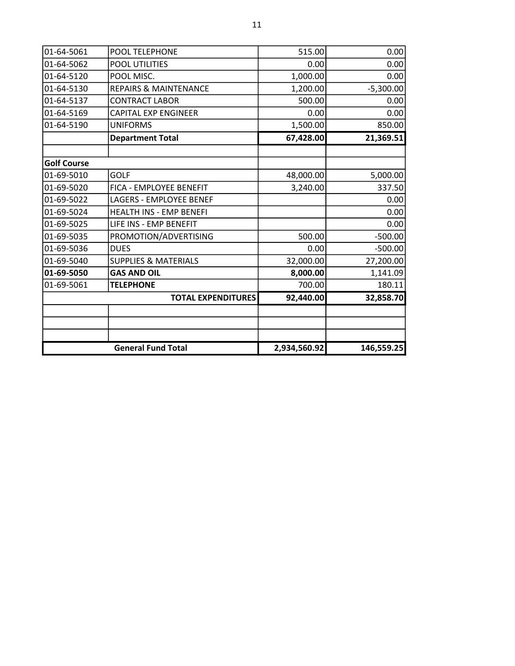| 01-64-5061         | POOL TELEPHONE                   | 515.00       | 0.00        |
|--------------------|----------------------------------|--------------|-------------|
| 01-64-5062         | <b>POOL UTILITIES</b>            | 0.00         | 0.00        |
| 01-64-5120         | POOL MISC.                       | 1,000.00     | 0.00        |
| 01-64-5130         | <b>REPAIRS &amp; MAINTENANCE</b> | 1,200.00     | $-5,300.00$ |
| 01-64-5137         | <b>CONTRACT LABOR</b>            | 500.00       | 0.00        |
| 01-64-5169         | <b>CAPITAL EXP ENGINEER</b>      | 0.00         | 0.00        |
| 01-64-5190         | <b>UNIFORMS</b>                  | 1,500.00     | 850.00      |
|                    | <b>Department Total</b>          | 67,428.00    | 21,369.51   |
|                    |                                  |              |             |
| <b>Golf Course</b> |                                  |              |             |
| 01-69-5010         | <b>GOLF</b>                      | 48,000.00    | 5,000.00    |
| 01-69-5020         | FICA - EMPLOYEE BENEFIT          | 3,240.00     | 337.50      |
| 01-69-5022         | <b>LAGERS - EMPLOYEE BENEF</b>   |              | 0.00        |
| 01-69-5024         | HEALTH INS - EMP BENEFI          |              | 0.00        |
| 01-69-5025         | LIFE INS - EMP BENEFIT           |              | 0.00        |
| 01-69-5035         | PROMOTION/ADVERTISING            | 500.00       | $-500.00$   |
| 01-69-5036         | <b>DUES</b>                      | 0.00         | $-500.00$   |
| 01-69-5040         | <b>SUPPLIES &amp; MATERIALS</b>  | 32,000.00    | 27,200.00   |
| 01-69-5050         | <b>GAS AND OIL</b>               | 8,000.00     | 1,141.09    |
| 01-69-5061         | <b>TELEPHONE</b>                 | 700.00       | 180.11      |
|                    | <b>TOTAL EXPENDITURES</b>        | 92,440.00    | 32,858.70   |
|                    |                                  |              |             |
|                    |                                  |              |             |
|                    |                                  |              |             |
|                    | <b>General Fund Total</b>        | 2,934,560.92 | 146,559.25  |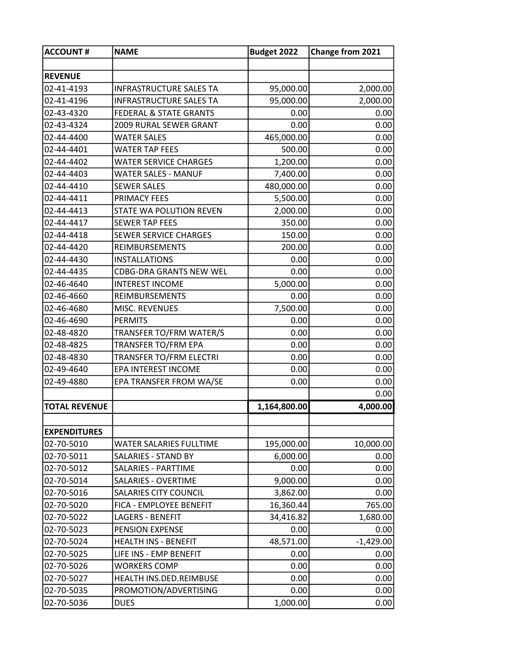| <b>ACCOUNT#</b>      | <b>NAME</b>                       | Budget 2022  | Change from 2021 |
|----------------------|-----------------------------------|--------------|------------------|
|                      |                                   |              |                  |
| <b>REVENUE</b>       |                                   |              |                  |
| 02-41-4193           | <b>INFRASTRUCTURE SALES TA</b>    | 95,000.00    | 2,000.00         |
| 02-41-4196           | <b>INFRASTRUCTURE SALES TA</b>    | 95,000.00    | 2,000.00         |
| 02-43-4320           | <b>FEDERAL &amp; STATE GRANTS</b> | 0.00         | 0.00             |
| 02-43-4324           | 2009 RURAL SEWER GRANT            | 0.00         | 0.00             |
| 02-44-4400           | <b>WATER SALES</b>                | 465,000.00   | 0.00             |
| 02-44-4401           | <b>WATER TAP FEES</b>             | 500.00       | 0.00             |
| 02-44-4402           | <b>WATER SERVICE CHARGES</b>      | 1,200.00     | 0.00             |
| 02-44-4403           | <b>WATER SALES - MANUF</b>        | 7,400.00     | 0.00             |
| 02-44-4410           | <b>SEWER SALES</b>                | 480,000.00   | 0.00             |
| 02-44-4411           | PRIMACY FEES                      | 5,500.00     | 0.00             |
| 02-44-4413           | STATE WA POLUTION REVEN           | 2,000.00     | 0.00             |
| 02-44-4417           | <b>SEWER TAP FEES</b>             | 350.00       | 0.00             |
| 02-44-4418           | <b>SEWER SERVICE CHARGES</b>      | 150.00       | 0.00             |
| 02-44-4420           | <b>REIMBURSEMENTS</b>             | 200.00       | 0.00             |
| 02-44-4430           | <b>INSTALLATIONS</b>              | 0.00         | 0.00             |
| 02-44-4435           | <b>CDBG-DRA GRANTS NEW WEL</b>    | 0.00         | 0.00             |
| 02-46-4640           | <b>INTEREST INCOME</b>            | 5,000.00     | 0.00             |
| 02-46-4660           | <b>REIMBURSEMENTS</b>             | 0.00         | 0.00             |
| 02-46-4680           | MISC. REVENUES                    | 7,500.00     | 0.00             |
| 02-46-4690           | <b>PERMITS</b>                    | 0.00         | 0.00             |
| 02-48-4820           | TRANSFER TO/FRM WATER/S           | 0.00         | 0.00             |
| 02-48-4825           | TRANSFER TO/FRM EPA               | 0.00         | 0.00             |
| 02-48-4830           | TRANSFER TO/FRM ELECTRI           | 0.00         | 0.00             |
| 02-49-4640           | EPA INTEREST INCOME               | 0.00         | 0.00             |
| 02-49-4880           | EPA TRANSFER FROM WA/SE           | 0.00         | 0.00             |
|                      |                                   |              | 0.00             |
| <b>TOTAL REVENUE</b> |                                   | 1,164,800.00 | 4,000.00         |
|                      |                                   |              |                  |
| <b>EXPENDITURES</b>  |                                   |              |                  |
| 02-70-5010           | WATER SALARIES FULLTIME           | 195,000.00   | 10,000.00        |
| 02-70-5011           | <b>SALARIES - STAND BY</b>        | 6,000.00     | 0.00             |
| 02-70-5012           | SALARIES - PARTTIME               | 0.00         | 0.00             |
| 02-70-5014           | <b>SALARIES - OVERTIME</b>        | 9,000.00     | 0.00             |
| 02-70-5016           | SALARIES CITY COUNCIL             | 3,862.00     | 0.00             |
| 02-70-5020           | FICA - EMPLOYEE BENEFIT           | 16,360.44    | 765.00           |
| 02-70-5022           | <b>LAGERS - BENEFIT</b>           | 34,416.82    | 1,680.00         |
| 02-70-5023           | PENSION EXPENSE                   | 0.00         | 0.00             |
| 02-70-5024           | <b>HEALTH INS - BENEFIT</b>       | 48,571.00    | $-1,429.00$      |
| 02-70-5025           | LIFE INS - EMP BENEFIT            | 0.00         | 0.00             |
| 02-70-5026           | <b>WORKERS COMP</b>               | 0.00         | 0.00             |
| 02-70-5027           | HEALTH INS.DED.REIMBUSE           | 0.00         | 0.00             |
| 02-70-5035           | PROMOTION/ADVERTISING             | 0.00         | 0.00             |
| 02-70-5036           | <b>DUES</b>                       | 1,000.00     | 0.00             |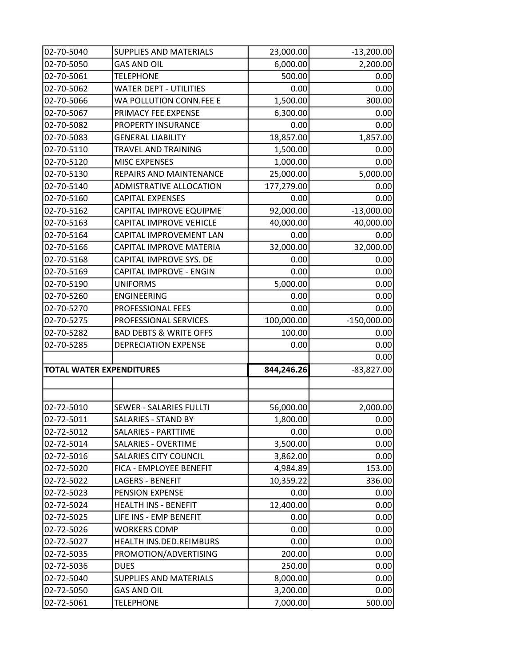| 02-70-5040                      | <b>SUPPLIES AND MATERIALS</b>     | 23,000.00  | $-13,200.00$  |
|---------------------------------|-----------------------------------|------------|---------------|
| 02-70-5050                      | <b>GAS AND OIL</b>                | 6,000.00   | 2,200.00      |
| 02-70-5061                      | <b>TELEPHONE</b>                  | 500.00     | 0.00          |
| 02-70-5062                      | <b>WATER DEPT - UTILITIES</b>     | 0.00       | 0.00          |
| 02-70-5066                      | WA POLLUTION CONN.FEE E           | 1,500.00   | 300.00        |
| 02-70-5067                      | PRIMACY FEE EXPENSE               | 6,300.00   | 0.00          |
| 02-70-5082                      | <b>PROPERTY INSURANCE</b>         | 0.00       | 0.00          |
| 02-70-5083                      | <b>GENERAL LIABILITY</b>          | 18,857.00  | 1,857.00      |
| 02-70-5110                      | TRAVEL AND TRAINING               | 1,500.00   | 0.00          |
| 02-70-5120                      | <b>MISC EXPENSES</b>              | 1,000.00   | 0.00          |
| 02-70-5130                      | REPAIRS AND MAINTENANCE           | 25,000.00  | 5,000.00      |
| 02-70-5140                      | ADMISTRATIVE ALLOCATION           | 177,279.00 | 0.00          |
| 02-70-5160                      | <b>CAPITAL EXPENSES</b>           | 0.00       | 0.00          |
| 02-70-5162                      | CAPITAL IMPROVE EQUIPME           | 92,000.00  | $-13,000.00$  |
| 02-70-5163                      | <b>CAPITAL IMPROVE VEHICLE</b>    | 40,000.00  | 40,000.00     |
| 02-70-5164                      | CAPITAL IMPROVEMENT LAN           | 0.00       | 0.00          |
| 02-70-5166                      | CAPITAL IMPROVE MATERIA           | 32,000.00  | 32,000.00     |
| 02-70-5168                      | CAPITAL IMPROVE SYS. DE           | 0.00       | 0.00          |
| 02-70-5169                      | <b>CAPITAL IMPROVE - ENGIN</b>    | 0.00       | 0.00          |
| 02-70-5190                      | <b>UNIFORMS</b>                   | 5,000.00   | 0.00          |
| 02-70-5260                      | <b>ENGINEERING</b>                | 0.00       | 0.00          |
| 02-70-5270                      | <b>PROFESSIONAL FEES</b>          | 0.00       | 0.00          |
| 02-70-5275                      | PROFESSIONAL SERVICES             | 100,000.00 | $-150,000.00$ |
| 02-70-5282                      | <b>BAD DEBTS &amp; WRITE OFFS</b> | 100.00     | 0.00          |
| 02-70-5285                      | <b>DEPRECIATION EXPENSE</b>       | 0.00       | 0.00          |
|                                 |                                   |            | 0.00          |
| <b>TOTAL WATER EXPENDITURES</b> |                                   | 844,246.26 | $-83,827.00$  |
|                                 |                                   |            |               |
|                                 |                                   |            |               |
| 02-72-5010                      | <b>SEWER - SALARIES FULLTI</b>    | 56,000.00  | 2,000.00      |
| 02-72-5011                      | <b>SALARIES - STAND BY</b>        | 1,800.00   | 0.00          |
| 02-72-5012                      | <b>SALARIES - PARTTIME</b>        | 0.00       | 0.00          |
| 02-72-5014                      | <b>SALARIES - OVERTIME</b>        | 3,500.00   | 0.00          |
|                                 |                                   |            |               |
| 02-72-5016                      | <b>SALARIES CITY COUNCIL</b>      | 3,862.00   | 0.00          |
| 02-72-5020                      | FICA - EMPLOYEE BENEFIT           | 4,984.89   | 153.00        |
| 02-72-5022                      | <b>LAGERS - BENEFIT</b>           | 10,359.22  | 336.00        |
| 02-72-5023                      | PENSION EXPENSE                   | 0.00       | 0.00          |
| 02-72-5024                      | <b>HEALTH INS - BENEFIT</b>       | 12,400.00  | 0.00          |
| 02-72-5025                      | LIFE INS - EMP BENEFIT            | 0.00       | 0.00          |
| 02-72-5026                      | <b>WORKERS COMP</b>               | 0.00       | 0.00          |
| 02-72-5027                      | HEALTH INS.DED.REIMBURS           | 0.00       | 0.00          |
| 02-72-5035                      | PROMOTION/ADVERTISING             | 200.00     | 0.00          |
| 02-72-5036                      | <b>DUES</b>                       | 250.00     | 0.00          |
| 02-72-5040                      | <b>SUPPLIES AND MATERIALS</b>     | 8,000.00   | 0.00          |
| 02-72-5050                      | <b>GAS AND OIL</b>                | 3,200.00   | 0.00          |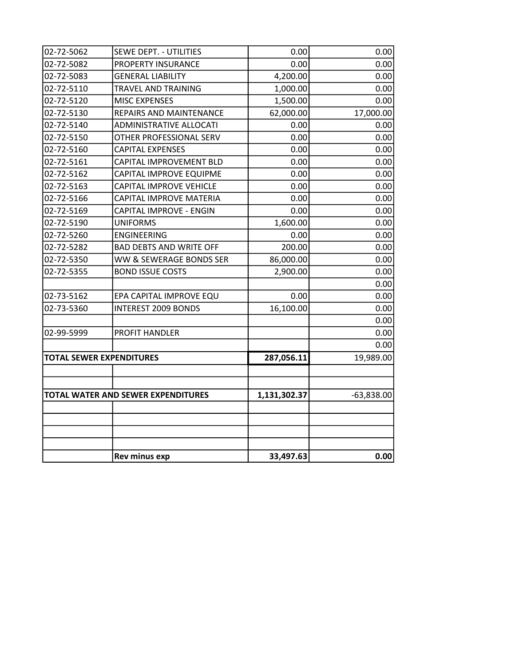| 02-72-5062 | <b>SEWE DEPT. - UTILITIES</b>      | 0.00         | 0.00         |
|------------|------------------------------------|--------------|--------------|
| 02-72-5082 | <b>PROPERTY INSURANCE</b>          | 0.00         | 0.00         |
| 02-72-5083 | <b>GENERAL LIABILITY</b>           | 4,200.00     | 0.00         |
| 02-72-5110 | <b>TRAVEL AND TRAINING</b>         | 1,000.00     | 0.00         |
| 02-72-5120 | <b>MISC EXPENSES</b>               | 1,500.00     | 0.00         |
| 02-72-5130 | REPAIRS AND MAINTENANCE            | 62,000.00    | 17,000.00    |
| 02-72-5140 | <b>ADMINISTRATIVE ALLOCATI</b>     | 0.00         | 0.00         |
| 02-72-5150 | OTHER PROFESSIONAL SERV            | 0.00         | 0.00         |
| 02-72-5160 | <b>CAPITAL EXPENSES</b>            | 0.00         | 0.00         |
| 02-72-5161 | CAPITAL IMPROVEMENT BLD            | 0.00         | 0.00         |
| 02-72-5162 | CAPITAL IMPROVE EQUIPME            | 0.00         | 0.00         |
| 02-72-5163 | <b>CAPITAL IMPROVE VEHICLE</b>     | 0.00         | 0.00         |
| 02-72-5166 | CAPITAL IMPROVE MATERIA            | 0.00         | 0.00         |
| 02-72-5169 | <b>CAPITAL IMPROVE - ENGIN</b>     | 0.00         | 0.00         |
| 02-72-5190 | <b>UNIFORMS</b>                    | 1,600.00     | 0.00         |
| 02-72-5260 | <b>ENGINEERING</b>                 | 0.00         | 0.00         |
| 02-72-5282 | <b>BAD DEBTS AND WRITE OFF</b>     | 200.00       | 0.00         |
| 02-72-5350 | WW & SEWERAGE BONDS SER            | 86,000.00    | 0.00         |
| 02-72-5355 | <b>BOND ISSUE COSTS</b>            | 2,900.00     | 0.00         |
|            |                                    |              | 0.00         |
| 02-73-5162 | EPA CAPITAL IMPROVE EQU            | 0.00         | 0.00         |
| 02-73-5360 | <b>INTEREST 2009 BONDS</b>         | 16,100.00    | 0.00         |
|            |                                    |              | 0.00         |
| 02-99-5999 | <b>PROFIT HANDLER</b>              |              | 0.00         |
|            |                                    |              | 0.00         |
|            | <b>TOTAL SEWER EXPENDITURES</b>    | 287,056.11   | 19,989.00    |
|            |                                    |              |              |
|            |                                    |              |              |
|            | TOTAL WATER AND SEWER EXPENDITURES | 1,131,302.37 | $-63,838.00$ |
|            |                                    |              |              |
|            |                                    |              |              |
|            |                                    |              |              |
|            |                                    |              |              |
|            | <b>Rev minus exp</b>               | 33,497.63    | 0.00         |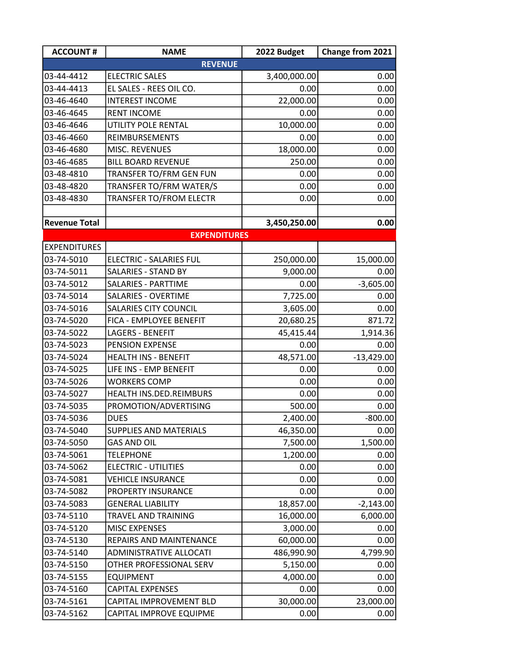| <b>ACCOUNT#</b>          | <b>NAME</b>                                    | 2022 Budget       | Change from 2021     |  |
|--------------------------|------------------------------------------------|-------------------|----------------------|--|
| <b>REVENUE</b>           |                                                |                   |                      |  |
| 03-44-4412               | <b>ELECTRIC SALES</b>                          | 3,400,000.00      | 0.00                 |  |
| 03-44-4413               | EL SALES - REES OIL CO.                        | 0.00              | 0.00                 |  |
| 03-46-4640               | <b>INTEREST INCOME</b>                         | 22,000.00         | 0.00                 |  |
| 03-46-4645               | <b>RENT INCOME</b>                             | 0.00              | 0.00                 |  |
| 03-46-4646               | UTILITY POLE RENTAL                            | 10,000.00         | 0.00                 |  |
| 03-46-4660               | REIMBURSEMENTS                                 | 0.00              | 0.00                 |  |
| 03-46-4680               | MISC. REVENUES                                 | 18,000.00         | 0.00                 |  |
| 03-46-4685               | <b>BILL BOARD REVENUE</b>                      | 250.00            | 0.00                 |  |
| 03-48-4810               | TRANSFER TO/FRM GEN FUN                        | 0.00              | 0.00                 |  |
| 03-48-4820               | TRANSFER TO/FRM WATER/S                        | 0.00              | 0.00                 |  |
| 03-48-4830               | TRANSFER TO/FROM ELECTR                        | 0.00              | 0.00                 |  |
|                          |                                                |                   |                      |  |
| <b>Revenue Total</b>     |                                                | 3,450,250.00      | 0.00                 |  |
|                          | <b>EXPENDITURES</b>                            |                   |                      |  |
| <b>EXPENDITURES</b>      |                                                |                   |                      |  |
| 03-74-5010               | ELECTRIC - SALARIES FUL                        | 250,000.00        | 15,000.00            |  |
| 03-74-5011               | SALARIES - STAND BY                            | 9,000.00          | 0.00                 |  |
| 03-74-5012               | SALARIES - PARTTIME                            | 0.00              | $-3,605.00$          |  |
| 03-74-5014               | <b>SALARIES - OVERTIME</b>                     | 7,725.00          | 0.00                 |  |
| 03-74-5016               | <b>SALARIES CITY COUNCIL</b>                   | 3,605.00          | 0.00                 |  |
| 03-74-5020               | FICA - EMPLOYEE BENEFIT                        | 20,680.25         | 871.72               |  |
| 03-74-5022               | <b>LAGERS - BENEFIT</b>                        | 45,415.44         | 1,914.36             |  |
| 03-74-5023<br>03-74-5024 | PENSION EXPENSE<br><b>HEALTH INS - BENEFIT</b> | 0.00<br>48,571.00 | 0.00<br>$-13,429.00$ |  |
| 03-74-5025               | LIFE INS - EMP BENEFIT                         | 0.00              | 0.00                 |  |
| 03-74-5026               | <b>WORKERS COMP</b>                            | 0.00              | 0.00                 |  |
| 03-74-5027               | HEALTH INS.DED.REIMBURS                        | 0.00              | 0.00                 |  |
| 03-74-5035               | PROMOTION/ADVERTISING                          | 500.00            | 0.00                 |  |
| 03-74-5036               | <b>DUES</b>                                    | 2,400.00          | $-800.00$            |  |
| 03-74-5040               | SUPPLIES AND MATERIALS                         | 46,350.00         | 0.00                 |  |
| 03-74-5050               | <b>GAS AND OIL</b>                             | 7,500.00          | 1,500.00             |  |
| 03-74-5061               | <b>TELEPHONE</b>                               | 1,200.00          | 0.00                 |  |
| 03-74-5062               | <b>ELECTRIC - UTILITIES</b>                    | 0.00              | 0.00                 |  |
| 03-74-5081               | <b>VEHICLE INSURANCE</b>                       | 0.00              | 0.00                 |  |
| 03-74-5082               | PROPERTY INSURANCE                             | 0.00              | 0.00                 |  |
| 03-74-5083               | <b>GENERAL LIABILITY</b>                       | 18,857.00         | $-2,143.00$          |  |
| 03-74-5110               | TRAVEL AND TRAINING                            | 16,000.00         | 6,000.00             |  |
| 03-74-5120               | MISC EXPENSES                                  | 3,000.00          | 0.00                 |  |
| 03-74-5130               | REPAIRS AND MAINTENANCE                        | 60,000.00         | 0.00                 |  |
| 03-74-5140               | ADMINISTRATIVE ALLOCATI                        | 486,990.90        | 4,799.90             |  |
| 03-74-5150               | OTHER PROFESSIONAL SERV                        | 5,150.00          | 0.00                 |  |
| 03-74-5155               | <b>EQUIPMENT</b>                               | 4,000.00          | 0.00                 |  |
| 03-74-5160               | <b>CAPITAL EXPENSES</b>                        | 0.00              | 0.00                 |  |
| 03-74-5161               | CAPITAL IMPROVEMENT BLD                        | 30,000.00         | 23,000.00            |  |
| 03-74-5162               | CAPITAL IMPROVE EQUIPME                        | 0.00              | 0.00                 |  |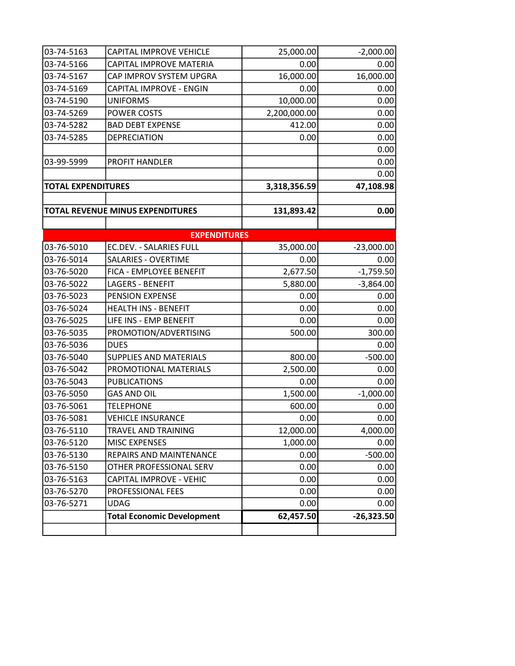| 03-74-5163                | CAPITAL IMPROVE VEHICLE           | 25,000.00    | $-2,000.00$  |
|---------------------------|-----------------------------------|--------------|--------------|
| 03-74-5166                | CAPITAL IMPROVE MATERIA           | 0.00         | 0.00         |
| 03-74-5167                | CAP IMPROV SYSTEM UPGRA           | 16,000.00    | 16,000.00    |
| 03-74-5169                | CAPITAL IMPROVE - ENGIN           | 0.00         | 0.00         |
| 03-74-5190                | <b>UNIFORMS</b>                   | 10,000.00    | 0.00         |
| 03-74-5269                | POWER COSTS                       | 2,200,000.00 | 0.00         |
| 03-74-5282                | <b>BAD DEBT EXPENSE</b>           | 412.00       | 0.00         |
| 03-74-5285                | <b>DEPRECIATION</b>               | 0.00         | 0.00         |
|                           |                                   |              | 0.00         |
| 03-99-5999                | PROFIT HANDLER                    |              | 0.00         |
|                           |                                   |              | 0.00         |
| <b>TOTAL EXPENDITURES</b> |                                   | 3,318,356.59 | 47,108.98    |
|                           |                                   |              |              |
|                           | TOTAL REVENUE MINUS EXPENDITURES  | 131,893.42   | 0.00         |
|                           |                                   |              |              |
|                           | <b>EXPENDITURES</b>               |              |              |
| 03-76-5010                | EC.DEV. - SALARIES FULL           | 35,000.00    | $-23,000.00$ |
| 03-76-5014                | <b>SALARIES - OVERTIME</b>        | 0.00         | 0.00         |
| 03-76-5020                | FICA - EMPLOYEE BENEFIT           | 2,677.50     | $-1,759.50$  |
| 03-76-5022                | <b>LAGERS - BENEFIT</b>           | 5,880.00     | $-3,864.00$  |
| 03-76-5023                | PENSION EXPENSE                   | 0.00         | 0.00         |
| 03-76-5024                | <b>HEALTH INS - BENEFIT</b>       | 0.00         | 0.00         |
| 03-76-5025                | LIFE INS - EMP BENEFIT            | 0.00         | 0.00         |
| 03-76-5035                | PROMOTION/ADVERTISING             | 500.00       | 300.00       |
| 03-76-5036                | <b>DUES</b>                       |              | 0.00         |
| 03-76-5040                | <b>SUPPLIES AND MATERIALS</b>     | 800.00       | $-500.00$    |
| 03-76-5042                | PROMOTIONAL MATERIALS             | 2,500.00     | 0.00         |
| 03-76-5043                | <b>PUBLICATIONS</b>               | 0.00         | 0.00         |
| 03-76-5050                | <b>GAS AND OIL</b>                | 1,500.00     | $-1,000.00$  |
| 03-76-5061                | <b>TELEPHONE</b>                  | 600.00       | 0.00         |
| 03-76-5081                | <b>VEHICLE INSURANCE</b>          | 0.00         | 0.00         |
| 03-76-5110                | TRAVEL AND TRAINING               | 12,000.00    | 4,000.00     |
| 03-76-5120                | <b>MISC EXPENSES</b>              | 1,000.00     | 0.00         |
| 03-76-5130                | REPAIRS AND MAINTENANCE           | 0.00         | $-500.00$    |
| 03-76-5150                | OTHER PROFESSIONAL SERV           | 0.00         | 0.00         |
| 03-76-5163                | CAPITAL IMPROVE - VEHIC           | 0.00         | 0.00         |
| 03-76-5270                | PROFESSIONAL FEES                 | 0.00         | 0.00         |
| 03-76-5271                | <b>UDAG</b>                       | 0.00         | 0.00         |
|                           | <b>Total Economic Development</b> | 62,457.50    | $-26,323.50$ |
|                           |                                   |              |              |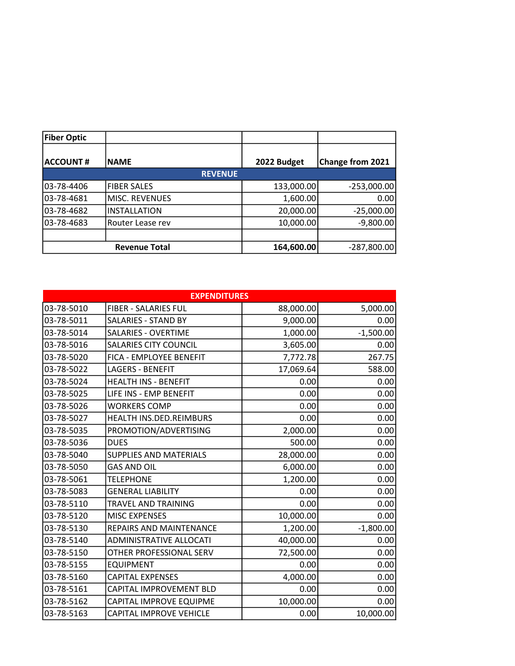| <b>Fiber Optic</b> |                      |             |                         |
|--------------------|----------------------|-------------|-------------------------|
| <b>ACCOUNT#</b>    | <b>INAME</b>         | 2022 Budget | <b>Change from 2021</b> |
|                    | <b>REVENUE</b>       |             |                         |
| 03-78-4406         | <b>FIBER SALES</b>   | 133,000.00  | $-253,000.00$           |
| 03-78-4681         | MISC. REVENUES       | 1,600.00    | 0.00                    |
| 03-78-4682         | <b>INSTALLATION</b>  | 20,000.00   | $-25,000.00$            |
| 103-78-4683        | Router Lease rev     | 10,000.00   | $-9,800.00$             |
|                    |                      |             |                         |
|                    | <b>Revenue Total</b> | 164,600.00  | $-287,800.00$           |

| <b>EXPENDITURES</b> |                                |           |             |
|---------------------|--------------------------------|-----------|-------------|
| 03-78-5010          | <b>FIBER - SALARIES FUL</b>    | 88,000.00 | 5,000.00    |
| 03-78-5011          | <b>SALARIES - STAND BY</b>     | 9,000.00  | 0.00        |
| 03-78-5014          | <b>SALARIES - OVERTIME</b>     | 1,000.00  | $-1,500.00$ |
| 03-78-5016          | <b>SALARIES CITY COUNCIL</b>   | 3,605.00  | 0.00        |
| 03-78-5020          | FICA - EMPLOYEE BENEFIT        | 7,772.78  | 267.75      |
| 03-78-5022          | <b>LAGERS - BENEFIT</b>        | 17,069.64 | 588.00      |
| 03-78-5024          | <b>HEALTH INS - BENEFIT</b>    | 0.00      | 0.00        |
| 03-78-5025          | LIFE INS - EMP BENEFIT         | 0.00      | 0.00        |
| 03-78-5026          | <b>WORKERS COMP</b>            | 0.00      | 0.00        |
| 03-78-5027          | HEALTH INS.DED.REIMBURS        | 0.00      | 0.00        |
| 03-78-5035          | PROMOTION/ADVERTISING          | 2,000.00  | 0.00        |
| 03-78-5036          | <b>DUES</b>                    | 500.00    | 0.00        |
| 03-78-5040          | <b>SUPPLIES AND MATERIALS</b>  | 28,000.00 | 0.00        |
| 03-78-5050          | <b>GAS AND OIL</b>             | 6,000.00  | 0.00        |
| 03-78-5061          | <b>TELEPHONE</b>               | 1,200.00  | 0.00        |
| 03-78-5083          | <b>GENERAL LIABILITY</b>       | 0.00      | 0.00        |
| 03-78-5110          | TRAVEL AND TRAINING            | 0.00      | 0.00        |
| 03-78-5120          | <b>MISC EXPENSES</b>           | 10,000.00 | 0.00        |
| 03-78-5130          | <b>REPAIRS AND MAINTENANCE</b> | 1,200.00  | $-1,800.00$ |
| 03-78-5140          | <b>ADMINISTRATIVE ALLOCATI</b> | 40,000.00 | 0.00        |
| 03-78-5150          | OTHER PROFESSIONAL SERV        | 72,500.00 | 0.00        |
| 03-78-5155          | <b>EQUIPMENT</b>               | 0.00      | 0.00        |
| 03-78-5160          | <b>CAPITAL EXPENSES</b>        | 4,000.00  | 0.00        |
| 03-78-5161          | CAPITAL IMPROVEMENT BLD        | 0.00      | 0.00        |
| 03-78-5162          | CAPITAL IMPROVE EQUIPME        | 10,000.00 | 0.00        |
| 03-78-5163          | <b>CAPITAL IMPROVE VEHICLE</b> | 0.00      | 10,000.00   |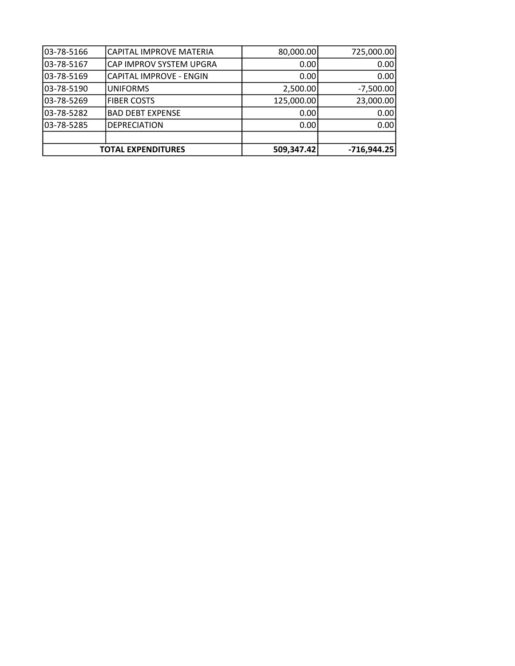|            | <b>TOTAL EXPENDITURES</b> | 509,347.42 | $-716,944.25$ |
|------------|---------------------------|------------|---------------|
|            |                           |            |               |
| 03-78-5285 | <b>DEPRECIATION</b>       | 0.00       | 0.00          |
| 03-78-5282 | <b>BAD DEBT EXPENSE</b>   | 0.00       | 0.00          |
| 03-78-5269 | <b>FIBER COSTS</b>        | 125,000.00 | 23,000.00     |
| 03-78-5190 | <b>UNIFORMS</b>           | 2,500.00   | $-7,500.00$   |
| 03-78-5169 | CAPITAL IMPROVE - ENGIN   | 0.00       | 0.00          |
| 03-78-5167 | CAP IMPROV SYSTEM UPGRA   | 0.00       | 0.00          |
| 03-78-5166 | CAPITAL IMPROVE MATERIA   | 80,000.00  | 725,000.00    |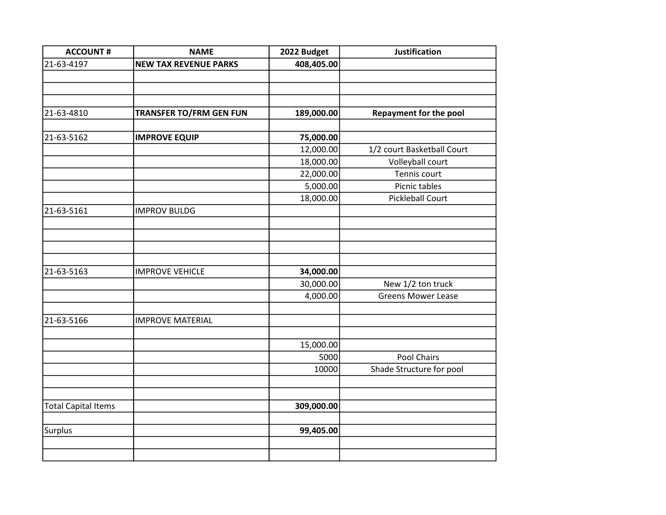| <b>ACCOUNT#</b>            | <b>NAME</b>                    | 2022 Budget | <b>Justification</b>          |
|----------------------------|--------------------------------|-------------|-------------------------------|
| 21-63-4197                 | <b>NEW TAX REVENUE PARKS</b>   | 408,405.00  |                               |
|                            |                                |             |                               |
|                            |                                |             |                               |
|                            |                                |             |                               |
| 21-63-4810                 | <b>TRANSFER TO/FRM GEN FUN</b> | 189,000.00  | <b>Repayment for the pool</b> |
|                            |                                |             |                               |
| 21-63-5162                 | <b>IMPROVE EQUIP</b>           | 75,000.00   |                               |
|                            |                                | 12,000.00   | 1/2 court Basketball Court    |
|                            |                                | 18,000.00   | Volleyball court              |
|                            |                                | 22,000.00   | Tennis court                  |
|                            |                                | 5,000.00    | Picnic tables                 |
|                            |                                | 18,000.00   | <b>Pickleball Court</b>       |
| 21-63-5161                 | <b>IMPROV BULDG</b>            |             |                               |
|                            |                                |             |                               |
|                            |                                |             |                               |
|                            |                                |             |                               |
|                            |                                |             |                               |
| 21-63-5163                 | <b>IMPROVE VEHICLE</b>         | 34,000.00   |                               |
|                            |                                | 30,000.00   | New 1/2 ton truck             |
|                            |                                | 4,000.00    | <b>Greens Mower Lease</b>     |
|                            |                                |             |                               |
| 21-63-5166                 | <b>IMPROVE MATERIAL</b>        |             |                               |
|                            |                                |             |                               |
|                            |                                | 15,000.00   |                               |
|                            |                                | 5000        | Pool Chairs                   |
|                            |                                | 10000       | Shade Structure for pool      |
|                            |                                |             |                               |
|                            |                                |             |                               |
| <b>Total Capital Items</b> |                                | 309,000.00  |                               |
|                            |                                |             |                               |
| Surplus                    |                                | 99,405.00   |                               |
|                            |                                |             |                               |
|                            |                                |             |                               |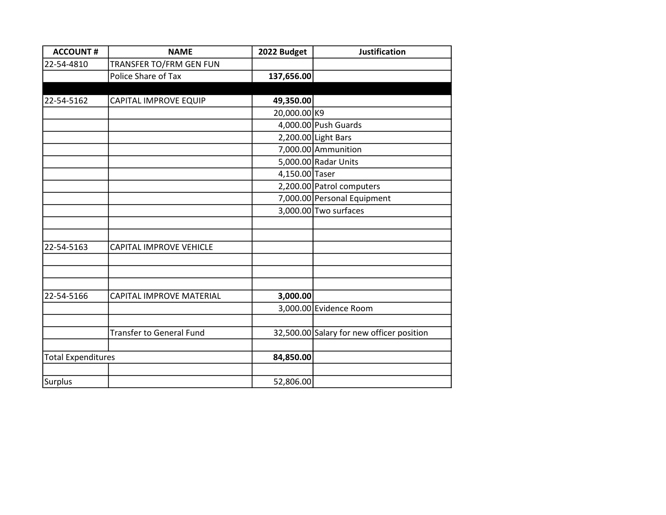| <b>ACCOUNT#</b>           | <b>NAME</b>                     | 2022 Budget    | <b>Justification</b>                      |
|---------------------------|---------------------------------|----------------|-------------------------------------------|
| 22-54-4810                | TRANSFER TO/FRM GEN FUN         |                |                                           |
|                           | Police Share of Tax             | 137,656.00     |                                           |
|                           |                                 |                |                                           |
| 22-54-5162                | CAPITAL IMPROVE EQUIP           | 49,350.00      |                                           |
|                           |                                 | 20,000.00 K9   |                                           |
|                           |                                 |                | 4,000.00 Push Guards                      |
|                           |                                 |                | 2,200.00 Light Bars                       |
|                           |                                 |                | 7,000.00 Ammunition                       |
|                           |                                 |                | 5,000.00 Radar Units                      |
|                           |                                 | 4,150.00 Taser |                                           |
|                           |                                 |                | 2,200.00 Patrol computers                 |
|                           |                                 |                | 7,000.00 Personal Equipment               |
|                           |                                 |                | 3,000.00 Two surfaces                     |
|                           |                                 |                |                                           |
|                           |                                 |                |                                           |
| 22-54-5163                | <b>CAPITAL IMPROVE VEHICLE</b>  |                |                                           |
|                           |                                 |                |                                           |
|                           |                                 |                |                                           |
|                           |                                 |                |                                           |
| 22-54-5166                | CAPITAL IMPROVE MATERIAL        | 3,000.00       |                                           |
|                           |                                 |                | 3,000.00 Evidence Room                    |
|                           |                                 |                |                                           |
|                           | <b>Transfer to General Fund</b> |                | 32,500.00 Salary for new officer position |
|                           |                                 |                |                                           |
| <b>Total Expenditures</b> |                                 | 84,850.00      |                                           |
|                           |                                 |                |                                           |
| <b>Surplus</b>            |                                 | 52,806.00      |                                           |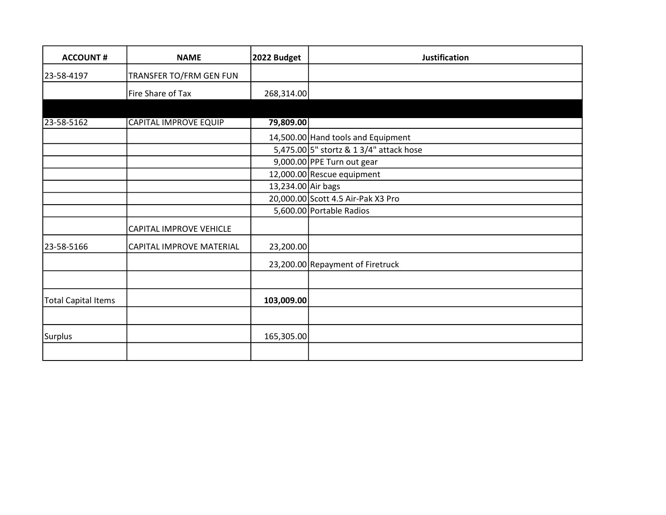| <b>ACCOUNT#</b>            | <b>NAME</b>                  | 2022 Budget        | <b>Justification</b>                    |
|----------------------------|------------------------------|--------------------|-----------------------------------------|
| 23-58-4197                 | TRANSFER TO/FRM GEN FUN      |                    |                                         |
|                            | Fire Share of Tax            | 268,314.00         |                                         |
|                            |                              |                    |                                         |
| 23-58-5162                 | <b>CAPITAL IMPROVE EQUIP</b> | 79,809.00          |                                         |
|                            |                              |                    | 14,500.00 Hand tools and Equipment      |
|                            |                              |                    | 5,475.00 5" stortz & 1 3/4" attack hose |
|                            |                              |                    | 9,000.00 PPE Turn out gear              |
|                            |                              |                    | 12,000.00 Rescue equipment              |
|                            |                              | 13,234.00 Air bags |                                         |
|                            |                              |                    | 20,000.00 Scott 4.5 Air-Pak X3 Pro      |
|                            |                              |                    | 5,600.00 Portable Radios                |
|                            | CAPITAL IMPROVE VEHICLE      |                    |                                         |
| 23-58-5166                 | CAPITAL IMPROVE MATERIAL     | 23,200.00          |                                         |
|                            |                              |                    | 23,200.00 Repayment of Firetruck        |
|                            |                              |                    |                                         |
| <b>Total Capital Items</b> |                              | 103,009.00         |                                         |
|                            |                              |                    |                                         |
| <b>Surplus</b>             |                              | 165,305.00         |                                         |
|                            |                              |                    |                                         |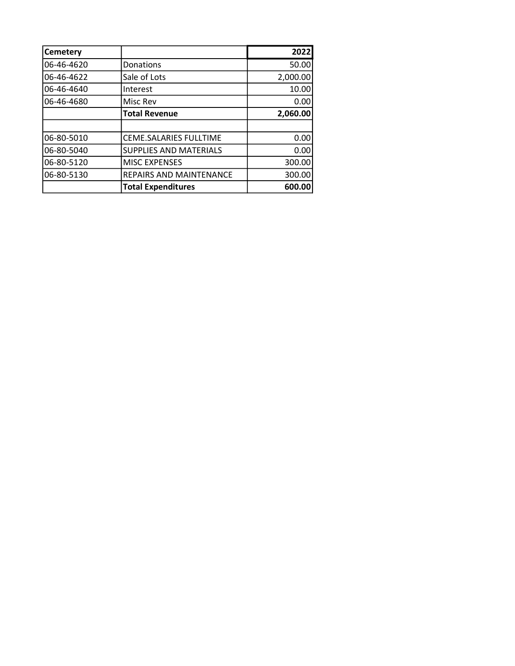| <b>Cemetery</b> |                               | 2022     |
|-----------------|-------------------------------|----------|
| 06-46-4620      | Donations                     | 50.00    |
| 06-46-4622      | Sale of Lots                  | 2,000.00 |
| 06-46-4640      | Interest                      | 10.00    |
| 06-46-4680      | Misc Rev                      | 0.00     |
|                 | <b>Total Revenue</b>          | 2,060.00 |
|                 |                               |          |
| 06-80-5010      | CEME.SALARIES FULLTIME        | 0.00     |
| 06-80-5040      | <b>SUPPLIES AND MATERIALS</b> | 0.00     |
| 06-80-5120      | <b>MISC EXPENSES</b>          | 300.00   |
| 06-80-5130      | REPAIRS AND MAINTENANCE       | 300.00   |
|                 | <b>Total Expenditures</b>     | 600.00   |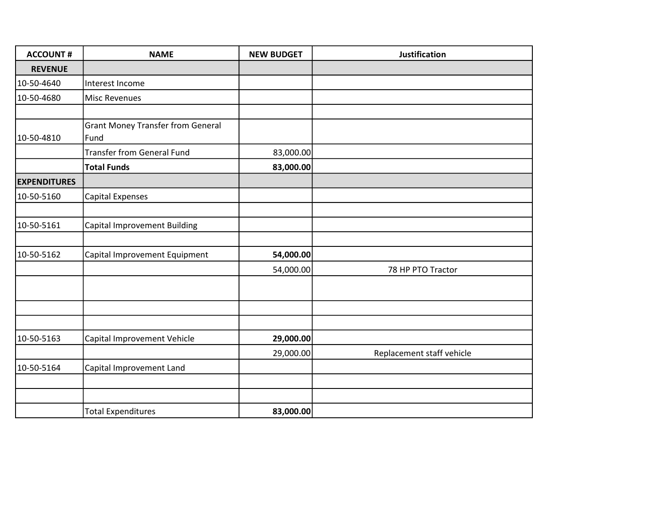| <b>ACCOUNT#</b>     | <b>NAME</b>                                      | <b>NEW BUDGET</b> | <b>Justification</b>      |
|---------------------|--------------------------------------------------|-------------------|---------------------------|
| <b>REVENUE</b>      |                                                  |                   |                           |
| 10-50-4640          | Interest Income                                  |                   |                           |
| 10-50-4680          | <b>Misc Revenues</b>                             |                   |                           |
|                     |                                                  |                   |                           |
| 10-50-4810          | <b>Grant Money Transfer from General</b><br>Fund |                   |                           |
|                     | <b>Transfer from General Fund</b>                | 83,000.00         |                           |
|                     | <b>Total Funds</b>                               | 83,000.00         |                           |
| <b>EXPENDITURES</b> |                                                  |                   |                           |
| 10-50-5160          | <b>Capital Expenses</b>                          |                   |                           |
|                     |                                                  |                   |                           |
| 10-50-5161          | <b>Capital Improvement Building</b>              |                   |                           |
|                     |                                                  |                   |                           |
| 10-50-5162          | Capital Improvement Equipment                    | 54,000.00         |                           |
|                     |                                                  | 54,000.00         | 78 HP PTO Tractor         |
|                     |                                                  |                   |                           |
|                     |                                                  |                   |                           |
|                     |                                                  |                   |                           |
| 10-50-5163          | Capital Improvement Vehicle                      | 29,000.00         |                           |
|                     |                                                  | 29,000.00         | Replacement staff vehicle |
| 10-50-5164          | Capital Improvement Land                         |                   |                           |
|                     |                                                  |                   |                           |
|                     |                                                  |                   |                           |
|                     | <b>Total Expenditures</b>                        | 83,000.00         |                           |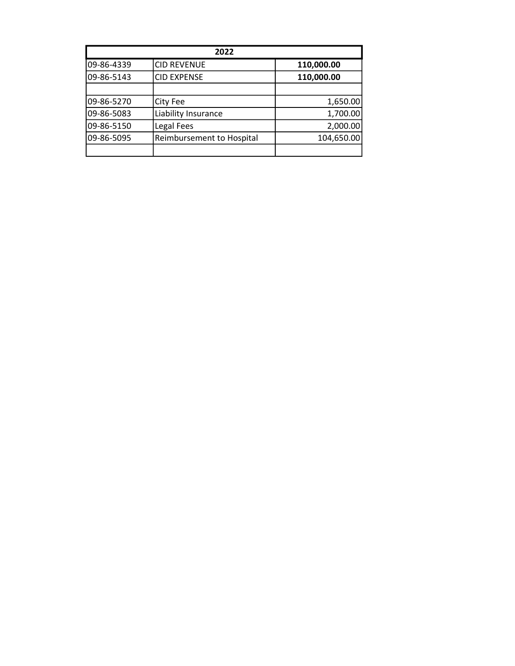|            | 2022                      |            |
|------------|---------------------------|------------|
| 09-86-4339 | <b>CID REVENUE</b>        | 110,000.00 |
| 09-86-5143 | <b>CID EXPENSE</b>        | 110,000.00 |
|            |                           |            |
| 09-86-5270 | City Fee                  | 1,650.00   |
| 09-86-5083 | Liability Insurance       | 1,700.00   |
| 09-86-5150 | Legal Fees                | 2,000.00   |
| 09-86-5095 | Reimbursement to Hospital | 104,650.00 |
|            |                           |            |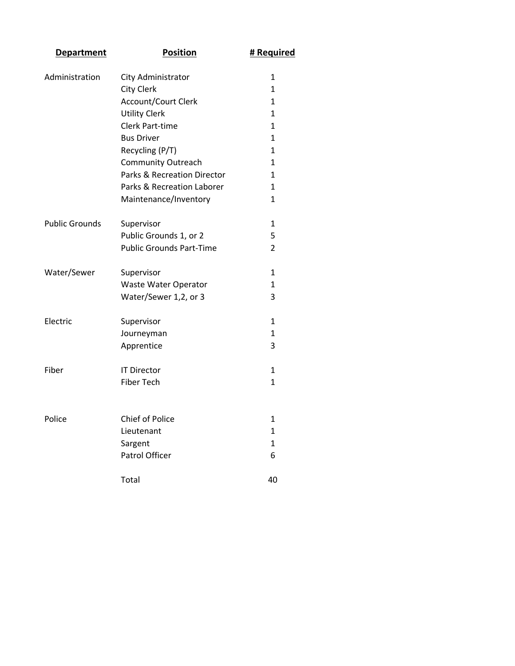| <b>Department</b>     | <b>Position</b>                 | # Required     |
|-----------------------|---------------------------------|----------------|
| Administration        | City Administrator              | 1              |
|                       | <b>City Clerk</b>               | $\mathbf{1}$   |
|                       | <b>Account/Court Clerk</b>      | 1              |
|                       | <b>Utility Clerk</b>            | $\mathbf{1}$   |
|                       | <b>Clerk Part-time</b>          | 1              |
|                       | <b>Bus Driver</b>               | 1              |
|                       | Recycling (P/T)                 | 1              |
|                       | <b>Community Outreach</b>       | 1              |
|                       | Parks & Recreation Director     | 1              |
|                       | Parks & Recreation Laborer      | $\mathbf{1}$   |
|                       | Maintenance/Inventory           | 1              |
| <b>Public Grounds</b> | Supervisor                      | 1              |
|                       | Public Grounds 1, or 2          | 5              |
|                       | <b>Public Grounds Part-Time</b> | $\overline{2}$ |
| Water/Sewer           | Supervisor                      | 1              |
|                       | Waste Water Operator            | 1              |
|                       | Water/Sewer 1,2, or 3           | 3              |
| Electric              | Supervisor                      | 1              |
|                       | Journeyman                      | 1              |
|                       | Apprentice                      | 3              |
| Fiber                 | <b>IT Director</b>              | 1              |
|                       | <b>Fiber Tech</b>               | 1              |
|                       |                                 |                |
| Police                | <b>Chief of Police</b>          | 1              |
|                       | Lieutenant                      | 1              |
|                       | Sargent                         | 1              |
|                       | Patrol Officer                  | 6              |
|                       | Total                           | 40             |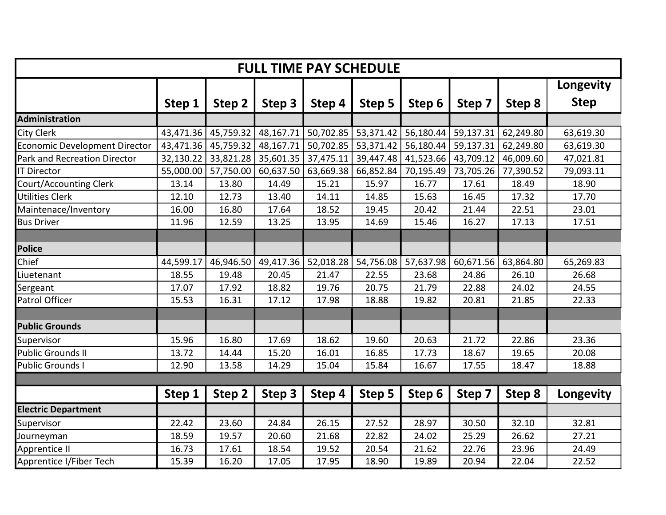| <b>FULL TIME PAY SCHEDULE</b>        |           |           |           |           |           |           |           |           |             |
|--------------------------------------|-----------|-----------|-----------|-----------|-----------|-----------|-----------|-----------|-------------|
|                                      |           |           |           |           |           |           |           |           | Longevity   |
|                                      | Step 1    | Step 2    | Step 3    | Step 4    | Step 5    | Step 6    | Step 7    | Step 8    | <b>Step</b> |
| Administration                       |           |           |           |           |           |           |           |           |             |
| City Clerk                           | 43,471.36 | 45,759.32 | 48,167.71 | 50,702.85 | 53,371.42 | 56,180.44 | 59,137.31 | 62,249.80 | 63,619.30   |
| <b>Economic Development Director</b> | 43,471.36 | 45,759.32 | 48,167.71 | 50,702.85 | 53,371.42 | 56,180.44 | 59,137.31 | 62,249.80 | 63,619.30   |
| Park and Recreation Director         | 32,130.22 | 33,821.28 | 35,601.35 | 37,475.11 | 39,447.48 | 41,523.66 | 43,709.12 | 46,009.60 | 47,021.81   |
| <b>IT Director</b>                   | 55,000.00 | 57,750.00 | 60,637.50 | 63,669.38 | 66,852.84 | 70,195.49 | 73,705.26 | 77,390.52 | 79,093.11   |
| <b>Court/Accounting Clerk</b>        | 13.14     | 13.80     | 14.49     | 15.21     | 15.97     | 16.77     | 17.61     | 18.49     | 18.90       |
| <b>Utilities Clerk</b>               | 12.10     | 12.73     | 13.40     | 14.11     | 14.85     | 15.63     | 16.45     | 17.32     | 17.70       |
| Maintenace/Inventory                 | 16.00     | 16.80     | 17.64     | 18.52     | 19.45     | 20.42     | 21.44     | 22.51     | 23.01       |
| <b>Bus Driver</b>                    | 11.96     | 12.59     | 13.25     | 13.95     | 14.69     | 15.46     | 16.27     | 17.13     | 17.51       |
|                                      |           |           |           |           |           |           |           |           |             |
| <b>Police</b>                        |           |           |           |           |           |           |           |           |             |
| Chief                                | 44,599.17 | 46,946.50 | 49,417.36 | 52,018.28 | 54,756.08 | 57,637.98 | 60,671.56 | 63,864.80 | 65,269.83   |
| Liuetenant                           | 18.55     | 19.48     | 20.45     | 21.47     | 22.55     | 23.68     | 24.86     | 26.10     | 26.68       |
| Sergeant                             | 17.07     | 17.92     | 18.82     | 19.76     | 20.75     | 21.79     | 22.88     | 24.02     | 24.55       |
| Patrol Officer                       | 15.53     | 16.31     | 17.12     | 17.98     | 18.88     | 19.82     | 20.81     | 21.85     | 22.33       |
|                                      |           |           |           |           |           |           |           |           |             |
| <b>Public Grounds</b>                |           |           |           |           |           |           |           |           |             |
| Supervisor                           | 15.96     | 16.80     | 17.69     | 18.62     | 19.60     | 20.63     | 21.72     | 22.86     | 23.36       |
| <b>Public Grounds II</b>             | 13.72     | 14.44     | 15.20     | 16.01     | 16.85     | 17.73     | 18.67     | 19.65     | 20.08       |
| <b>Public Grounds I</b>              | 12.90     | 13.58     | 14.29     | 15.04     | 15.84     | 16.67     | 17.55     | 18.47     | 18.88       |
|                                      |           |           |           |           |           |           |           |           |             |
|                                      | Step 1    | Step 2    | Step 3    | Step 4    | Step 5    | Step 6    | Step 7    | Step 8    | Longevity   |
| <b>Electric Department</b>           |           |           |           |           |           |           |           |           |             |
| Supervisor                           | 22.42     | 23.60     | 24.84     | 26.15     | 27.52     | 28.97     | 30.50     | 32.10     | 32.81       |
| Journeyman                           | 18.59     | 19.57     | 20.60     | 21.68     | 22.82     | 24.02     | 25.29     | 26.62     | 27.21       |
| Apprentice II                        | 16.73     | 17.61     | 18.54     | 19.52     | 20.54     | 21.62     | 22.76     | 23.96     | 24.49       |
| Apprentice I/Fiber Tech              | 15.39     | 16.20     | 17.05     | 17.95     | 18.90     | 19.89     | 20.94     | 22.04     | 22.52       |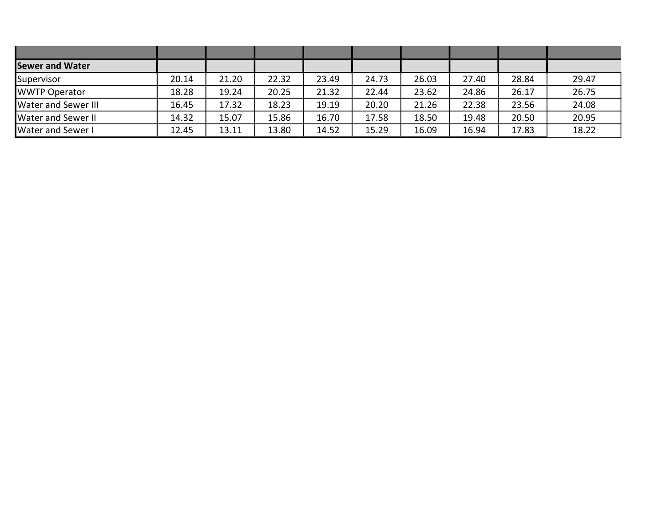| <b>Sewer and Water</b>     |       |       |       |       |       |       |       |       |       |
|----------------------------|-------|-------|-------|-------|-------|-------|-------|-------|-------|
| Supervisor                 | 20.14 | 21.20 | 22.32 | 23.49 | 24.73 | 26.03 | 27.40 | 28.84 | 29.47 |
| <b>WWTP Operator</b>       | 18.28 | 19.24 | 20.25 | 21.32 | 22.44 | 23.62 | 24.86 | 26.17 | 26.75 |
| <b>Water and Sewer III</b> | 16.45 | 17.32 | 18.23 | 19.19 | 20.20 | 21.26 | 22.38 | 23.56 | 24.08 |
| <b>Water and Sewer II</b>  | 14.32 | 15.07 | 15.86 | 16.70 | 17.58 | 18.50 | 19.48 | 20.50 | 20.95 |
| <b>Water and Sewer I</b>   | 12.45 | 13.11 | 13.80 | 14.52 | 15.29 | 16.09 | 16.94 | 17.83 | 18.22 |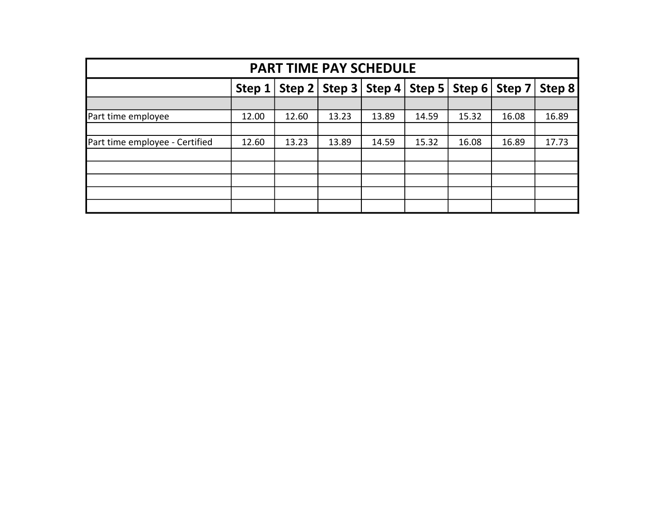|                                |                                                                                             | <b>PART TIME PAY SCHEDULE</b> |       |       |       |       |       |       |  |
|--------------------------------|---------------------------------------------------------------------------------------------|-------------------------------|-------|-------|-------|-------|-------|-------|--|
|                                | $ $ Step 5<br>Step $2 \mid$ Step 3 $\mid$<br>Step 4<br>Step 6<br>Step 8<br>Step 7<br>Step 1 |                               |       |       |       |       |       |       |  |
|                                |                                                                                             |                               |       |       |       |       |       |       |  |
| Part time employee             | 12.00                                                                                       | 12.60                         | 13.23 | 13.89 | 14.59 | 15.32 | 16.08 | 16.89 |  |
|                                |                                                                                             |                               |       |       |       |       |       |       |  |
| Part time employee - Certified | 12.60                                                                                       | 13.23                         | 13.89 | 14.59 | 15.32 | 16.08 | 16.89 | 17.73 |  |
|                                |                                                                                             |                               |       |       |       |       |       |       |  |
|                                |                                                                                             |                               |       |       |       |       |       |       |  |
|                                |                                                                                             |                               |       |       |       |       |       |       |  |
|                                |                                                                                             |                               |       |       |       |       |       |       |  |
|                                |                                                                                             |                               |       |       |       |       |       |       |  |